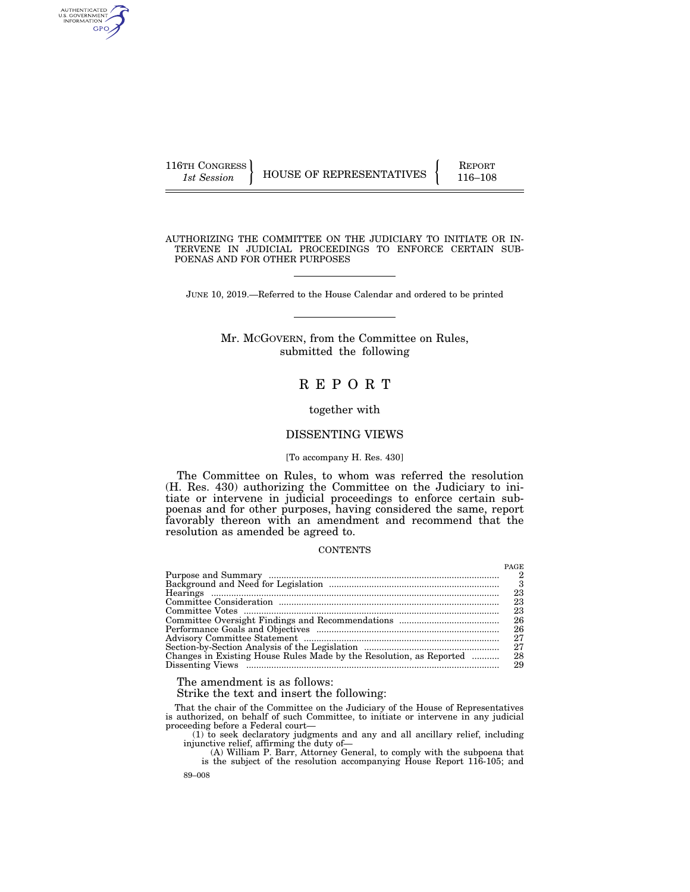| 116TH CONGRESS |                                 | <b>REPORT</b> |
|----------------|---------------------------------|---------------|
| 1st Session    | <b>HOUSE OF REPRESENTATIVES</b> | 116-108       |

AUTHENTICATED<br>U.S. GOVERNMENT<br>INFORMATION GPO

AUTHORIZING THE COMMITTEE ON THE JUDICIARY TO INITIATE OR IN-TERVENE IN JUDICIAL PROCEEDINGS TO ENFORCE CERTAIN SUB-POENAS AND FOR OTHER PURPOSES

JUNE 10, 2019.—Referred to the House Calendar and ordered to be printed

## Mr. MCGOVERN, from the Committee on Rules, submitted the following

# R E P O R T

## together with

## DISSENTING VIEWS

#### [To accompany H. Res. 430]

The Committee on Rules, to whom was referred the resolution (H. Res. 430) authorizing the Committee on the Judiciary to initiate or intervene in judicial proceedings to enforce certain subpoenas and for other purposes, having considered the same, report favorably thereon with an amendment and recommend that the resolution as amended be agreed to.

## **CONTENTS**

|                                                                     | PAGE |
|---------------------------------------------------------------------|------|
|                                                                     |      |
|                                                                     |      |
|                                                                     | 23   |
|                                                                     | 23   |
|                                                                     | 23   |
|                                                                     | 26   |
|                                                                     | 26   |
|                                                                     | 27   |
|                                                                     | 27   |
| Changes in Existing House Rules Made by the Resolution, as Reported | 28   |
|                                                                     | 29   |

The amendment is as follows:

Strike the text and insert the following:

That the chair of the Committee on the Judiciary of the House of Representatives is authorized, on behalf of such Committee, to initiate or intervene in any judicial proceeding before a Federal court—

(1) to seek declaratory judgments and any and all ancillary relief, including injunctive relief, affirming the duty of—

(A) William P. Barr, Attorney General, to comply with the subpoena that is the subject of the resolution accompanying House Report 116-105; and

89–008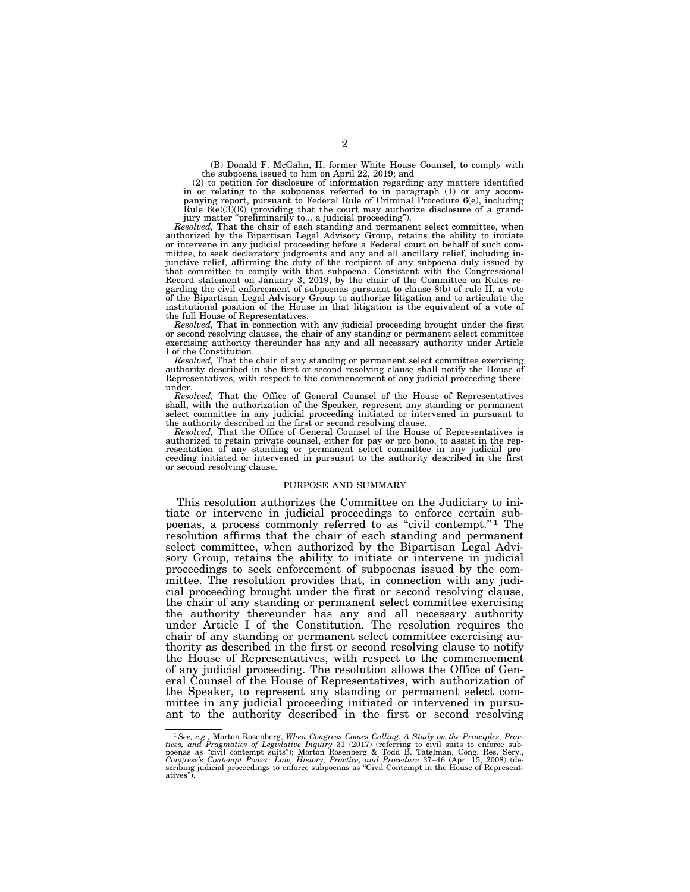(B) Donald F. McGahn, II, former White House Counsel, to comply with the subpoena issued to him on April 22, 2019; and

(2) to petition for disclosure of information regarding any matters identified in or relating to the subpoenas referred to in paragraph (1) or any accom-panying report, pursuant to Federal Rule of Criminal Procedure 6(e), including Rule  $6(e)(3)(E)$  (providing that the court may authorize disclosure of a grandjury matter "preliminarily to... a judicial proceeding").

*Resolved,* That the chair of each standing and permanent select committee, when authorized by the Bipartisan Legal Advisory Group, retains the ability to initiate or intervene in any judicial proceeding before a Federal court on behalf of such committee, to seek declaratory judgments and any and all ancillary relief, including injunctive relief, affirming the duty of the recipient of any subpoena duly issued by that committee to comply with that subpoena. Consistent with the Congressional Record statement on January 3, 2019, by the chair of the Committee on Rules re-garding the civil enforcement of subpoenas pursuant to clause 8(b) of rule II, a vote of the Bipartisan Legal Advisory Group to authorize litigation and to articulate the institutional position of the House in that litigation is the equivalent of a vote of the full House of Representatives.

*Resolved,* That in connection with any judicial proceeding brought under the first or second resolving clauses, the chair of any standing or permanent select committee exercising authority thereunder has any and all necessary authority under Article I of the Constitution.

*Resolved,* That the chair of any standing or permanent select committee exercising authority described in the first or second resolving clause shall notify the House of Representatives, with respect to the commencement of any judicial proceeding thereunder.

*Resolved,* That the Office of General Counsel of the House of Representatives shall, with the authorization of the Speaker, represent any standing or permanent select committee in any judicial proceeding initiated or intervened in pursuant to the authority described in the first or second resolving clause.

*Resolved,* That the Office of General Counsel of the House of Representatives is authorized to retain private counsel, either for pay or pro bono, to assist in the representation of any standing or permanent select committee in any judicial pro-ceeding initiated or intervened in pursuant to the authority described in the first or second resolving clause.

#### PURPOSE AND SUMMARY

This resolution authorizes the Committee on the Judiciary to initiate or intervene in judicial proceedings to enforce certain subpoenas, a process commonly referred to as ''civil contempt.'' 1 The resolution affirms that the chair of each standing and permanent select committee, when authorized by the Bipartisan Legal Advisory Group, retains the ability to initiate or intervene in judicial proceedings to seek enforcement of subpoenas issued by the committee. The resolution provides that, in connection with any judicial proceeding brought under the first or second resolving clause, the chair of any standing or permanent select committee exercising the authority thereunder has any and all necessary authority under Article I of the Constitution. The resolution requires the chair of any standing or permanent select committee exercising authority as described in the first or second resolving clause to notify the House of Representatives, with respect to the commencement of any judicial proceeding. The resolution allows the Office of General Counsel of the House of Representatives, with authorization of the Speaker, to represent any standing or permanent select committee in any judicial proceeding initiated or intervened in pursuant to the authority described in the first or second resolving

<sup>&</sup>lt;sup>1</sup>See, e.g., Morton Rosenberg, When Congress Comes Calling: A Study on the Principles, Practices, and Pragmatics of Legislative Inquiry 31 (2017) (referring to civil suits to enforce sub-<br>poenas as "civil contempt suits" atives'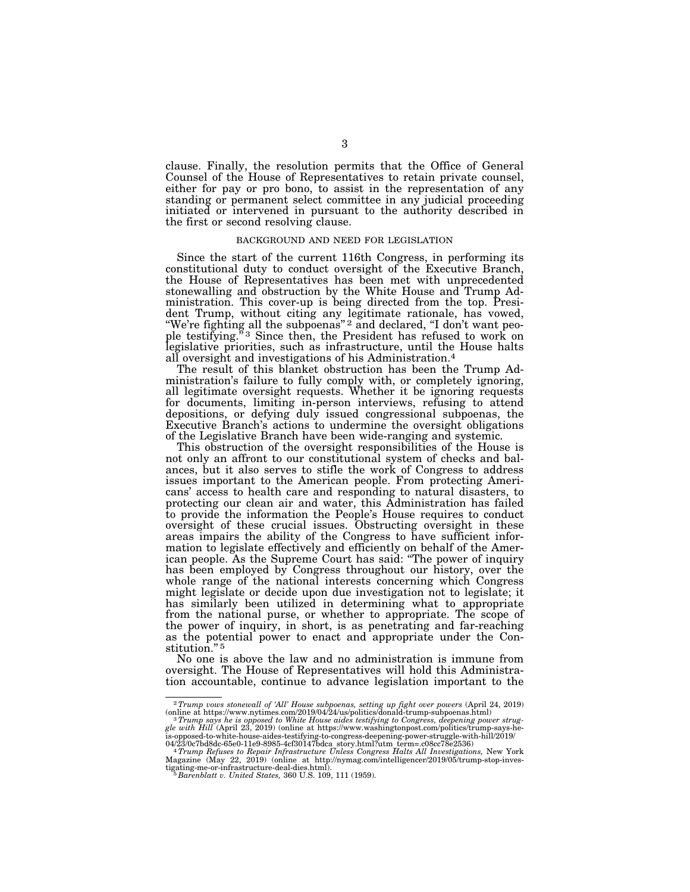clause. Finally, the resolution permits that the Office of General Counsel of the House of Representatives to retain private counsel, either for pay or pro bono, to assist in the representation of any standing or permanent select committee in any judicial proceeding initiated or intervened in pursuant to the authority described in the first or second resolving clause.

### BACKGROUND AND NEED FOR LEGISLATION

Since the start of the current 116th Congress, in performing its constitutional duty to conduct oversight of the Executive Branch, the House of Representatives has been met with unprecedented stonewalling and obstruction by the White House and Trump Administration. This cover-up is being directed from the top. President Trump, without citing any legitimate rationale, has vowed, "We're fighting all the subpoenas"<sup>2</sup> and declared, "I don't want people testifying."<sup>3</sup> Since then, the President has refused to work on legislative priorities, such as infrastructure, until the House halts all oversight and investigations of his Administration.4

The result of this blanket obstruction has been the Trump Administration's failure to fully comply with, or completely ignoring, all legitimate oversight requests. Whether it be ignoring requests for documents, limiting in-person interviews, refusing to attend depositions, or defying duly issued congressional subpoenas, the Executive Branch's actions to undermine the oversight obligations of the Legislative Branch have been wide-ranging and systemic.

This obstruction of the oversight responsibilities of the House is not only an affront to our constitutional system of checks and balances, but it also serves to stifle the work of Congress to address issues important to the American people. From protecting Americans' access to health care and responding to natural disasters, to protecting our clean air and water, this Administration has failed to provide the information the People's House requires to conduct oversight of these crucial issues. Obstructing oversight in these areas impairs the ability of the Congress to have sufficient information to legislate effectively and efficiently on behalf of the American people. As the Supreme Court has said: ''The power of inquiry has been employed by Congress throughout our history, over the whole range of the national interests concerning which Congress might legislate or decide upon due investigation not to legislate; it has similarly been utilized in determining what to appropriate from the national purse, or whether to appropriate. The scope of the power of inquiry, in short, is as penetrating and far-reaching as the potential power to enact and appropriate under the Constitution."<sup>5</sup>

No one is above the law and no administration is immune from oversight. The House of Representatives will hold this Administration accountable, continue to advance legislation important to the

<sup>2</sup>*Trump vows stonewall of 'All' House subpoenas, setting up fight over powers* (April 24, 2019)

online at https://www.nytimes.com/2019/04/24/us/politics/donald-trump-subpoenas.html)<br><sup>3</sup> Tr*ump says he is opposed to White House aides testifying to Congress, deepening power strug-<br>gle with Hill (April 23, 2019) (online* 

is-opposed-to-white-house-aides-testifying-to-congress-deepening-power-struggle-with-hill/2019/<br>04/23/0c7bd8dc-65e0-11e9-8985-4cf30147bdca story.html?utm term=.c08cc78e2536)<br>- <sup>4</sup> Tru*mp Refuses to Repair Infrastructure Un* Magazine (May 22, 2019) (online at http://nymag.com/intelligencer/2019/05/trump-stop-inves-tigating-me-or-infrastructure-deal-dies.html). 5 *Barenblatt v. United States,* 360 U.S. 109, 111 (1959).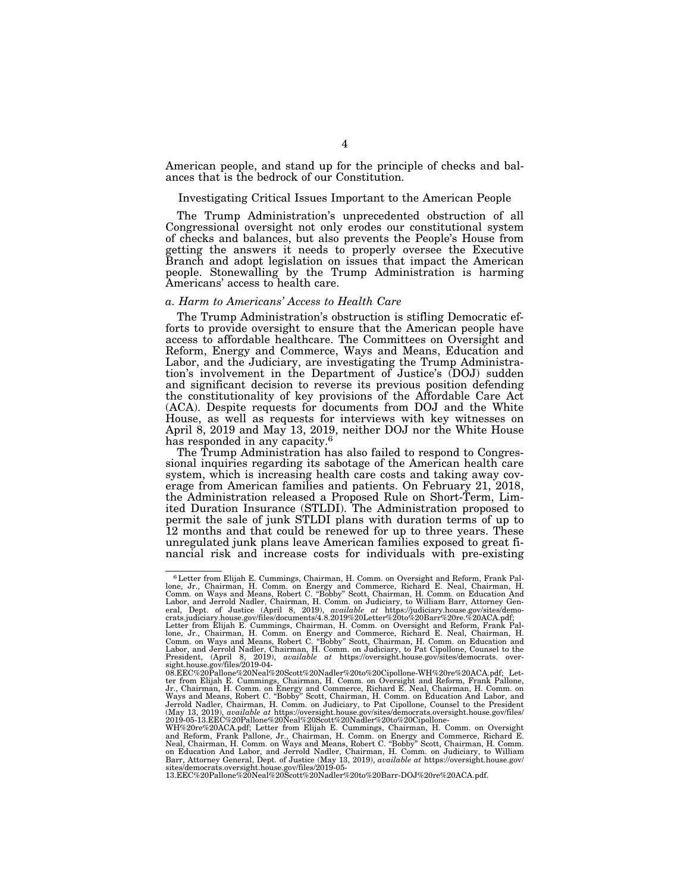American people, and stand up for the principle of checks and balances that is the bedrock of our Constitution.

## Investigating Critical Issues Important to the American People

The Trump Administration's unprecedented obstruction of all Congressional oversight not only erodes our constitutional system of checks and balances, but also prevents the People's House from getting the answers it needs to properly oversee the Executive Branch and adopt legislation on issues that impact the American people. Stonewalling by the Trump Administration is harming Americans' access to health care.

#### *a. Harm to Americans' Access to Health Care*

The Trump Administration's obstruction is stifling Democratic efforts to provide oversight to ensure that the American people have access to affordable healthcare. The Committees on Oversight and Reform, Energy and Commerce, Ways and Means, Education and Labor, and the Judiciary, are investigating the Trump Administration's involvement in the Department of Justice's (DOJ) sudden and significant decision to reverse its previous position defending the constitutionality of key provisions of the Affordable Care Act (ACA). Despite requests for documents from DOJ and the White House, as well as requests for interviews with key witnesses on April 8, 2019 and May 13, 2019, neither DOJ nor the White House has responded in any capacity.<sup>6</sup>

The Trump Administration has also failed to respond to Congressional inquiries regarding its sabotage of the American health care system, which is increasing health care costs and taking away coverage from American families and patients. On February 21, 2018, the Administration released a Proposed Rule on Short-Term, Limited Duration Insurance (STLDI). The Administration proposed to permit the sale of junk STLDI plans with duration terms of up to 12 months and that could be renewed for up to three years. These unregulated junk plans leave American families exposed to great financial risk and increase costs for individuals with pre-existing

<sup>6</sup>Letter from Elijah E. Cummings, Chairman, H. Comm. on Oversight and Reform, Frank Pal-lone, Jr., Chairman, H. Comm. on Energy and Commerce, Richard E. Neal, Chairman, H. Comm. on Ways and Means, Robert C. "Bobby" Scott, Chairman, H. Comm. on Education And<br>Labor, and Jerrold Nadler, Chairman, H. Comm. on Judiciary, to William Barr, Attorney Gen-<br>eral, Dept. of Justice (April 8, 2019),

crats.judiciary.house.gov/files/documents/4.8.2019%20Letter%20to%20Barr%20re.%20ACA.pdf;<br>Letter from Elijah E. Cummings, Chairman, H. Comm. on Oversight and Reform, Frank Pal-<br>lone, Jr., Chairman, H. Comm. on Energy and Co Comm. on Ways and Means, Robert C. "Bobby" Scott, Chairman, H. Comm. on Education and<br>Labor, and Jerrold Nadler, Chairman, H. Comm. on Judiciary, to Pat Cipollone, Counsel to the<br>President, (April 8, 2019), *available* 

sight.house.gov/files/2019-04- 08.EEC%20Pallone%20Neal%20Scott%20Nadler%20to%20Cipollone-WH%20re%20ACA.pdf; Letter from Elijah E. Cummings, Chairman, H. Comm. on Oversight and Reform, Frank Pallone, Jr., Chairman, H. Comm. on Energy and Commerce, Richard E. Neal, Chairman, H. Comm. on<br>Ways and Means, Robert C. "Bobby" Scott, Chairman, H. Comm. on Education And Labor, and<br>Jerrold Nadler, Chairman, H. Comm. on Judiciary (May 13, 2019), *available at* https://oversight.house.gov/sites/democrats.oversight.house.gov/files/<br>2019-05-13.EEC%20Pallone%20Neal%20Scott%20Nadler%20to%20Cipollone-<br>WH%20re%20ACA.pdf; Letter from Elijah E. Cummings, Ch

and Reform, Frank Pallone, Jr., Chairman, H. Comm. on Energy and Commerce, Richard E.<br>Neal, Chairman, H. Comm. on Ways and Means, Robert C. "Bobby" Scott, Chairman, H. Comm.<br>on Education And Labor, and Jerrold Nadler, Chai Barr, Attorney General, Dept. of Justice (May 13, 2019), *available at* https://oversight.house.gov/<br>sites/democrats.oversight.house.gov/files/2019-05-<br>13.EEC%20Pallone%20Neal%20Scott%20Nadler%20to%20Barr-DOJ%20re%20ACA.pd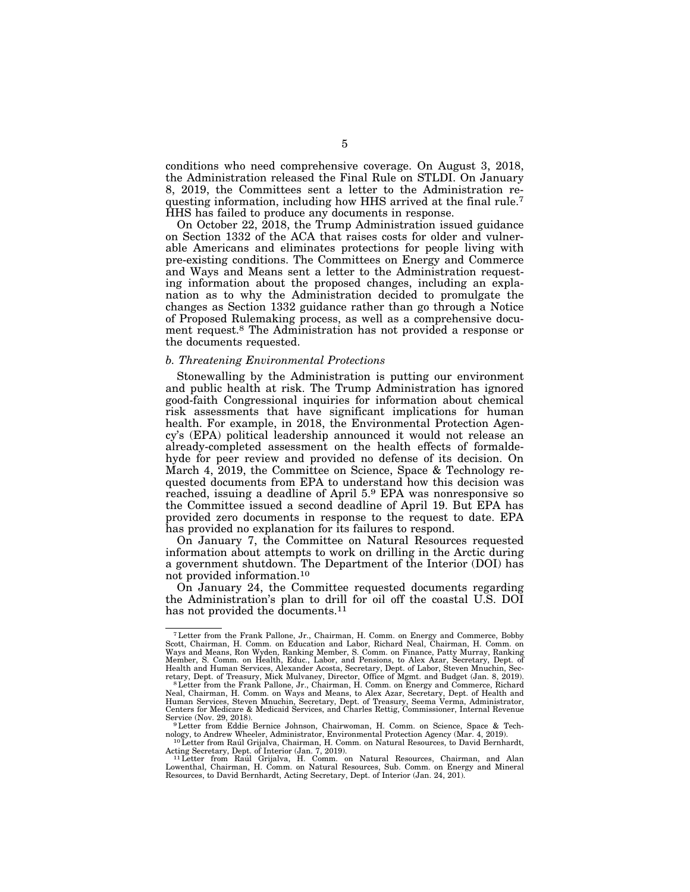conditions who need comprehensive coverage. On August 3, 2018, the Administration released the Final Rule on STLDI. On January 8, 2019, the Committees sent a letter to the Administration requesting information, including how HHS arrived at the final rule.7 HHS has failed to produce any documents in response.

On October 22, 2018, the Trump Administration issued guidance on Section 1332 of the ACA that raises costs for older and vulnerable Americans and eliminates protections for people living with pre-existing conditions. The Committees on Energy and Commerce and Ways and Means sent a letter to the Administration requesting information about the proposed changes, including an explanation as to why the Administration decided to promulgate the changes as Section 1332 guidance rather than go through a Notice of Proposed Rulemaking process, as well as a comprehensive document request.8 The Administration has not provided a response or the documents requested.

### *b. Threatening Environmental Protections*

Stonewalling by the Administration is putting our environment and public health at risk. The Trump Administration has ignored good-faith Congressional inquiries for information about chemical risk assessments that have significant implications for human health. For example, in 2018, the Environmental Protection Agency's (EPA) political leadership announced it would not release an already-completed assessment on the health effects of formaldehyde for peer review and provided no defense of its decision. On March 4, 2019, the Committee on Science, Space & Technology requested documents from EPA to understand how this decision was reached, issuing a deadline of April 5.9 EPA was nonresponsive so the Committee issued a second deadline of April 19. But EPA has provided zero documents in response to the request to date. EPA has provided no explanation for its failures to respond.

On January 7, the Committee on Natural Resources requested information about attempts to work on drilling in the Arctic during a government shutdown. The Department of the Interior (DOI) has not provided information.10

On January 24, the Committee requested documents regarding the Administration's plan to drill for oil off the coastal U.S. DOI has not provided the documents.<sup>11</sup>

<sup>&</sup>lt;sup>7</sup> Letter from the Frank Pallone, Jr., Chairman, H. Comm. on Energy and Commerce, Bobby<br>Scott, Chairman, H. Comm. on Education and Labor, Richard Neal, Chairman, H. Comm. on<br>Ways and Means, Ron Wyden, Ranking Member, S. C Member, S. Comm. on Health, Educ., Labor, and Pensions, to Alex Azar, Secretary, Dept. of Health and Human Services, Alexander Acosta, Secretary, Dept. of Labor, Steven Mnuchin, Secretary, Dept. of Treasury, Mick Mulvaney, Director, Office of Mgmt. and Budget (Jan. 8, 2019).

retary, Dept. of Treasury, Mick Mulvaney, Director, Office of Mgmt. and Budget (Jan. 8, 2019).<br><sup>8</sup> Letter from the Frank Pallone, Jr., Chairman, H. Comm. on Energy and Commerce, Richard<br>Neal, Chairman, H. Comm. on Ways and Service (Nov. 29, 2018). 9Letter from Eddie Bernice Johnson, Chairwoman, H. Comm. on Science, Space & Tech-

nology, to Andrew Wheeler, Administrator, Environmental Protection Agency (Mar. 4, 2019).<br><sup>10</sup>Letter from Rauíl Grijalva, Chairman, H. Comm. on Natural Resources, to David Bernhardt,

Acting Secretary, Dept. of Interior (Jan. 7, 2019).<br><sup>11</sup> Letter from Raúl Grijalva, H. Comm. on Natural Resources, Chairman, and Alan<br>Lowenthal, Chairman, H. Comm. on Natural Resources, Sub. Comm. on Energy and Mineral<br>Res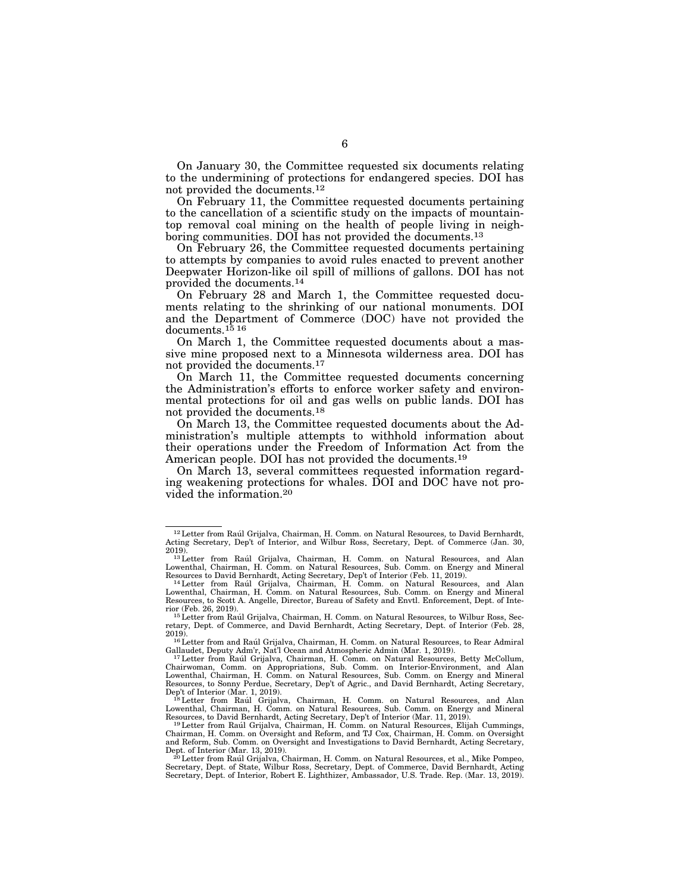On January 30, the Committee requested six documents relating to the undermining of protections for endangered species. DOI has not provided the documents.12

On February 11, the Committee requested documents pertaining to the cancellation of a scientific study on the impacts of mountaintop removal coal mining on the health of people living in neighboring communities. DOI has not provided the documents.<sup>13</sup>

On February 26, the Committee requested documents pertaining to attempts by companies to avoid rules enacted to prevent another Deepwater Horizon-like oil spill of millions of gallons. DOI has not provided the documents.14

On February 28 and March 1, the Committee requested documents relating to the shrinking of our national monuments. DOI and the Department of Commerce (DOC) have not provided the documents.15 16

On March 1, the Committee requested documents about a massive mine proposed next to a Minnesota wilderness area. DOI has not provided the documents.17

On March 11, the Committee requested documents concerning the Administration's efforts to enforce worker safety and environmental protections for oil and gas wells on public lands. DOI has not provided the documents.18

On March 13, the Committee requested documents about the Administration's multiple attempts to withhold information about their operations under the Freedom of Information Act from the American people. DOI has not provided the documents.19

On March 13, several committees requested information regarding weakening protections for whales. DOI and DOC have not provided the information.20

<sup>&</sup>lt;sup>12</sup> Letter from Raúl Grijalva, Chairman, H. Comm. on Natural Resources, to David Bernhardt, Acting Secretary, Dep't of Interior, and Wilbur Ross, Secretary, Dept. of Commerce (Jan. 30,

<sup>&</sup>lt;sup>13</sup>Letter from Raúl Grijalva, Chairman, H. Comm. on Natural Resources, and Alan Lowenthal, Chairman, H. Comm. on Natural Resources, Sub. Comm. on Energy and Mineral<br>Resources to David Bernhardt, Acting Secretary, Dep't of Interior (Feb. 11, 2019).<br><sup>14</sup>Letter from Raúl Grijalva, Chairman, H. Comm. on N

Resources, to Scott A. Angelle, Director, Bureau of Safety and Envtl. Enforcement, Dept. of Interior (Feb. 26, 2019).<br>
<sup>15</sup>Letter from Raul Grijalva, Chairman, H. Comm. on Natural Resources, to Wilbur Ross, Sec-<br>
15 Letter from Raul Grijalva, Chairman, H. Comm. on Natural Resources, to Wilbur Ross, Sec-

retary, Dept. of Commerce, and David Bernhardt, Acting Secretary, Dept. of Interior (Feb. 28,

 $^{16}$  Letter from and Raúl Grijalva, Chairman, H. Comm. on Natural Resources, to Rear Admiral Gallaudet, Deputy Adm'r, Nat'l Ocean and Atmospheric Admin (Mar. 1, 2019).

<sup>&</sup>lt;sup>17</sup> Letter from Raúl Grijalva, Chairman, H. Comm. on Natural Resources, Betty McCollum, Chairwoman, Comm. on Appropriations, Sub. Comm. on Interior-Environment, and Alan Lowenthal, Chairman, H. Comm. on Natural Resources, Sub. Comm. on Energy and Mineral Resources, to Sonny Perdue, Secretary, Dep't of Agric., and David Bernhardt, Acting Secretary,

Dep't of Interior (Mar. 1, 2019).<br><sup>18</sup>Letter from Raúl Grijalva, Chairman, H. Comm. on Natural Resources, and Alan<br>Lowenthal, Chairman, H. Comm. on Natural Resources, Sub. Comm. on Energy and Mineral Resources, to David Bernhardt, Acting Secretary, Dep't of Interior (Mar. 11, 2019). 19Letter from Raúl Grijalva, Chairman, H. Comm. on Natural Resources, Elijah Cummings,

Chairman, H. Comm. on Oversight and Reform, and TJ Cox, Chairman, H. Comm. on Oversight and Reform, Sub. Comm. on Oversight and Investigations to David Bernhardt, Acting Secretary, Dept. of Interior (Mar. 13, 2019).<br><sup>20</sup>Letter from Raul Grijalva, Chairman, H. Comm. on Natural Resources, et al., Mike Pompeo,

Secretary, Dept. of State, Wilbur Ross, Secretary, Dept. of Commerce, David Bernhardt, Acting Secretary, Dept. of Interior, Robert E. Lighthizer, Ambassador, U.S. Trade. Rep. (Mar. 13, 2019).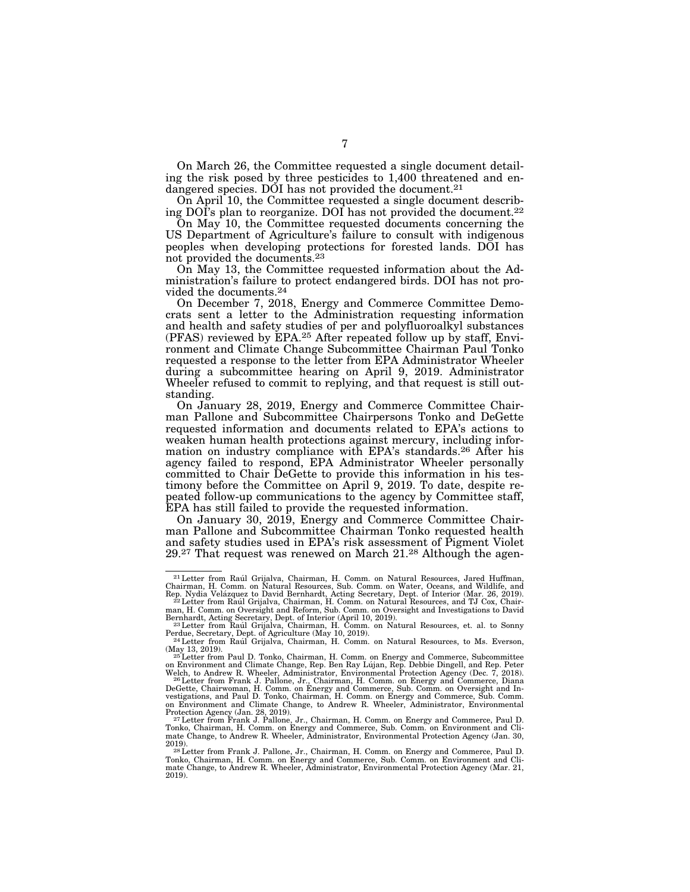On March 26, the Committee requested a single document detailing the risk posed by three pesticides to 1,400 threatened and endangered species. DOI has not provided the document.21

On April 10, the Committee requested a single document describing DOI's plan to reorganize. DOI has not provided the document.22

On May 10, the Committee requested documents concerning the US Department of Agriculture's failure to consult with indigenous peoples when developing protections for forested lands. DOI has not provided the documents.23

On May 13, the Committee requested information about the Administration's failure to protect endangered birds. DOI has not provided the documents.24

On December 7, 2018, Energy and Commerce Committee Democrats sent a letter to the Administration requesting information and health and safety studies of per and polyfluoroalkyl substances (PFAS) reviewed by EPA.25 After repeated follow up by staff, Environment and Climate Change Subcommittee Chairman Paul Tonko requested a response to the letter from EPA Administrator Wheeler during a subcommittee hearing on April 9, 2019. Administrator Wheeler refused to commit to replying, and that request is still outstanding.

On January 28, 2019, Energy and Commerce Committee Chairman Pallone and Subcommittee Chairpersons Tonko and DeGette requested information and documents related to EPA's actions to weaken human health protections against mercury, including information on industry compliance with EPA's standards.26 After his agency failed to respond, EPA Administrator Wheeler personally committed to Chair DeGette to provide this information in his testimony before the Committee on April 9, 2019. To date, despite repeated follow-up communications to the agency by Committee staff, EPA has still failed to provide the requested information.

On January 30, 2019, Energy and Commerce Committee Chairman Pallone and Subcommittee Chairman Tonko requested health and safety studies used in EPA's risk assessment of Pigment Violet 29.27 That request was renewed on March 21.28 Although the agen-

<sup>&</sup>lt;sup>21</sup> Letter from Raúl Grijalva, Chairman, H. Comm. on Natural Resources, Jared Huffman, Chairman, H. Comm. on Natural Resources, Sub. Comm. on Water, Oceans, and Wildlife, and

Rep. Nydia Velázquez to David Bernhardt, Acting Secretary, Dept. of Interior (Mar. 26, 2019).<br><sup>22</sup> Letter from Raúl Grijalva, Chairman, H. Comm. on Natural Resources, and TJ Cox, Chairman, H. Comm. on Oversight and Reform,

Bernhardt, Acting Secretary, Dept. of Interior (April 10, 2019).<br><sup>23</sup>Letter from Rau´l Grijalva, Chairman, H. Comm. on Natural Resources, et. al. to Sonny<br>Perdue, Secretary, Dept. of Agriculture (May 10, 2019).

<sup>&</sup>lt;sup>24</sup> Letter from Raul Grijalva, Chairman, H. Comm. on Natural Resources, to Ms. Everson, (May 13, 2019).<br><sup>25</sup>Letter from Paul D. Tonko, Chairman, H. Comm. on Energy and Commerce, Subcommittee<br>D. Res. Paul D. Res. Paul D. Res. Paul Line D. Physics D. Politics Res. Politics Res. Peter

on Environment and Climate Change, Rep. Ben Ray Lújan, Rep. Debbie Dingell, and Rep. Peter Welch, to Andrew R. Wheeler, Administrator, Environmental Protection Agency (Dec. 7, 2018).<br><sup>26</sup> Letter from Frank J. Pallone, Jr.,

DeGette, Chairwoman, H. Comm. on Energy and Commerce, Sub. Comm. on Oversight and In-<br>vestigations, and Paul D. Tonko, Chairman, H. Comm. on Energy and Commerce, Sub. Comm.<br>on Environment and Climate Change, to Andrew R. W Protection Agency (Jan. 28, 2019). 27 Letter from Frank J. Pallone, Jr., Chairman, H. Comm. on Energy and Commerce, Paul D.

Tonko, Chairman, H. Comm. on Energy and Commerce, Sub. Comm. on Environment and Climate Change, to Andrew R. Wheeler, Administrator, Environmental Protection Agency (Jan. 30,

<sup>&</sup>lt;sup>28</sup> Letter from Frank J. Pallone, Jr., Chairman, H. Comm. on Energy and Commerce, Paul D. Tonko, Chairman, H. Comm. on Energy and Commerce, Sub. Comm. on Environment and Cli-mate Change, to Andrew R. Wheeler, Administrator, Environmental Protection Agency (Mar. 21, 2019).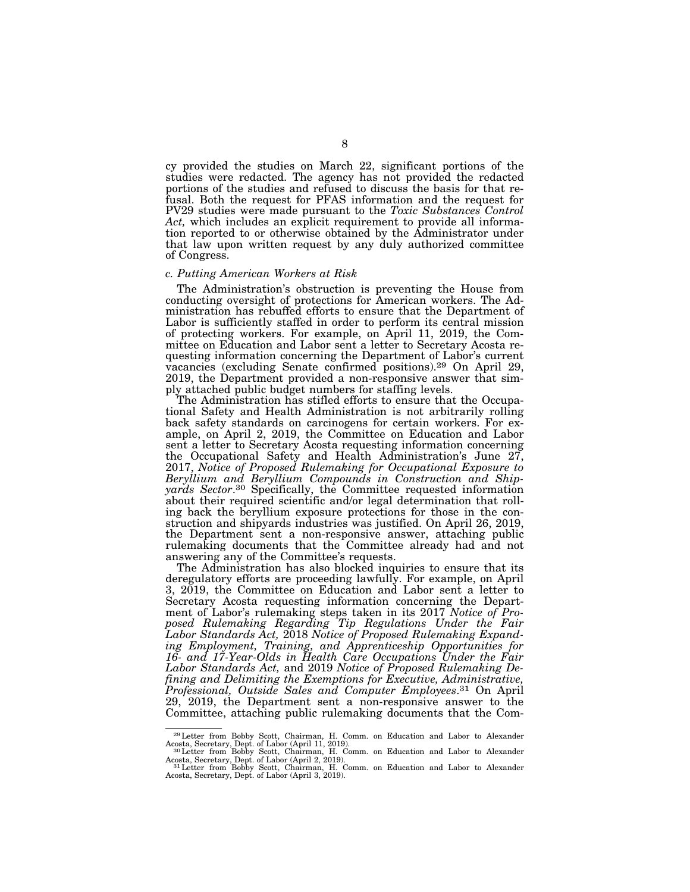cy provided the studies on March 22, significant portions of the studies were redacted. The agency has not provided the redacted portions of the studies and refused to discuss the basis for that refusal. Both the request for PFAS information and the request for PV29 studies were made pursuant to the *Toxic Substances Control Act,* which includes an explicit requirement to provide all information reported to or otherwise obtained by the Administrator under that law upon written request by any duly authorized committee of Congress.

## *c. Putting American Workers at Risk*

The Administration's obstruction is preventing the House from conducting oversight of protections for American workers. The Administration has rebuffed efforts to ensure that the Department of Labor is sufficiently staffed in order to perform its central mission of protecting workers. For example, on April 11, 2019, the Committee on Education and Labor sent a letter to Secretary Acosta requesting information concerning the Department of Labor's current vacancies (excluding Senate confirmed positions).29 On April 29, 2019, the Department provided a non-responsive answer that simply attached public budget numbers for staffing levels.

The Administration has stifled efforts to ensure that the Occupational Safety and Health Administration is not arbitrarily rolling back safety standards on carcinogens for certain workers. For example, on April 2, 2019, the Committee on Education and Labor sent a letter to Secretary Acosta requesting information concerning the Occupational Safety and Health Administration's June 27, 2017, *Notice of Proposed Rulemaking for Occupational Exposure to Beryllium and Beryllium Compounds in Construction and Shipyards Sector*.30 Specifically, the Committee requested information about their required scientific and/or legal determination that rolling back the beryllium exposure protections for those in the construction and shipyards industries was justified. On April 26, 2019, the Department sent a non-responsive answer, attaching public rulemaking documents that the Committee already had and not answering any of the Committee's requests.

The Administration has also blocked inquiries to ensure that its deregulatory efforts are proceeding lawfully. For example, on April 3, 2019, the Committee on Education and Labor sent a letter to Secretary Acosta requesting information concerning the Department of Labor's rulemaking steps taken in its 2017 *Notice of Proposed Rulemaking Regarding Tip Regulations Under the Fair Labor Standards Act,* 2018 *Notice of Proposed Rulemaking Expanding Employment, Training, and Apprenticeship Opportunities for 16- and 17-Year-Olds in Health Care Occupations Under the Fair Labor Standards Act,* and 2019 *Notice of Proposed Rulemaking Defining and Delimiting the Exemptions for Executive, Administrative, Professional, Outside Sales and Computer Employees*.31 On April 29, 2019, the Department sent a non-responsive answer to the Committee, attaching public rulemaking documents that the Com-

<sup>&</sup>lt;sup>29</sup>Letter from Bobby Scott, Chairman, H. Comm. on Education and Labor to Alexander Acosta, Secretary, Dept. of Labor (April 11, 2019).<br><sup>30</sup>Letter from Bobby Scott, Chairman, H. Comm. on Education and Labor to Alexander

Acosta, Secretary, Dept. of Labor (April 2, 2019).<br><sup>31</sup>Letter from Bobby Scott, Chairman, H. Comm. on Education and Labor to Alexander<br>Acosta, Secretary, Dept. of Labor (April 3, 2019).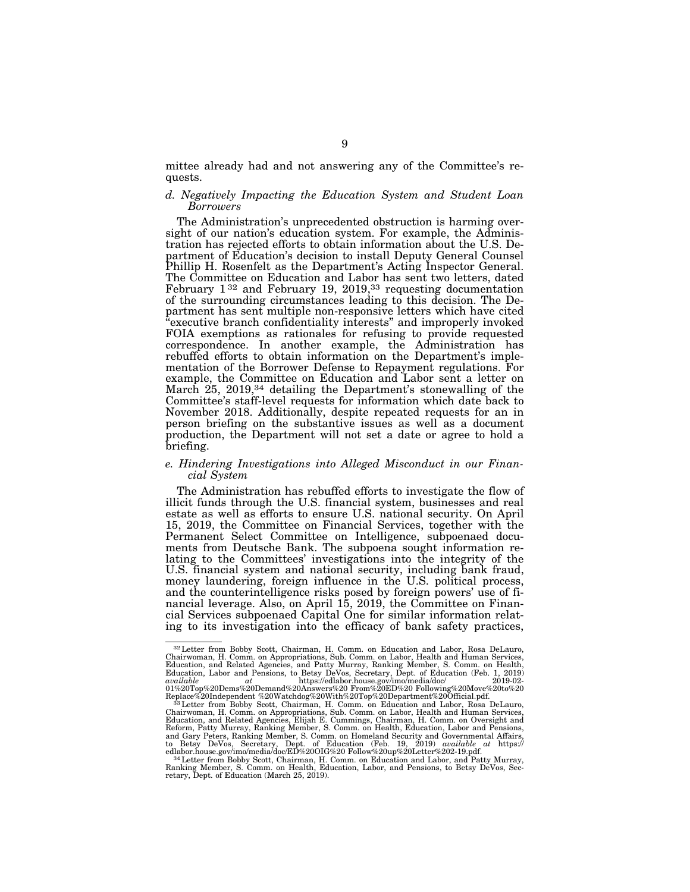mittee already had and not answering any of the Committee's requests.

## *d. Negatively Impacting the Education System and Student Loan Borrowers*

The Administration's unprecedented obstruction is harming oversight of our nation's education system. For example, the Administration has rejected efforts to obtain information about the U.S. Department of Education's decision to install Deputy General Counsel Phillip H. Rosenfelt as the Department's Acting Inspector General. The Committee on Education and Labor has sent two letters, dated February  $1^{32}$  and February 19, 2019,<sup>33</sup> requesting documentation of the surrounding circumstances leading to this decision. The Department has sent multiple non-responsive letters which have cited ''executive branch confidentiality interests'' and improperly invoked FOIA exemptions as rationales for refusing to provide requested correspondence. In another example, the Administration has rebuffed efforts to obtain information on the Department's implementation of the Borrower Defense to Repayment regulations. For example, the Committee on Education and Labor sent a letter on March 25, 2019,<sup>34</sup> detailing the Department's stonewalling of the Committee's staff-level requests for information which date back to November 2018. Additionally, despite repeated requests for an in person briefing on the substantive issues as well as a document production, the Department will not set a date or agree to hold a briefing.

## *e. Hindering Investigations into Alleged Misconduct in our Financial System*

The Administration has rebuffed efforts to investigate the flow of illicit funds through the U.S. financial system, businesses and real estate as well as efforts to ensure U.S. national security. On April 15, 2019, the Committee on Financial Services, together with the Permanent Select Committee on Intelligence, subpoenaed documents from Deutsche Bank. The subpoena sought information relating to the Committees' investigations into the integrity of the U.S. financial system and national security, including bank fraud, money laundering, foreign influence in the U.S. political process, and the counterintelligence risks posed by foreign powers' use of financial leverage. Also, on April 15, 2019, the Committee on Financial Services subpoenaed Capital One for similar information relating to its investigation into the efficacy of bank safety practices,

<sup>32</sup>Letter from Bobby Scott, Chairman, H. Comm. on Education and Labor, Rosa DeLauro, Chairwoman, H. Comm. on Appropriations, Sub. Comm. on Labor, Health and Human Services, Education, and Related Agencies, and Patty Murray, Ranking Member, S. Comm. on Health,<br>Education, Labor and Pensions, to Betsy DeVos, Secretary, Dept. of Education (Feb. 1, 2019)<br>available at at https://edlabor.house.gov/i 01%20Top%20Dems%20Demand%20Answers%20 From%20ED%20 Following%20Move%20to%20<br>Replace%201ndependent %20Watchdog%20With%20Top%20Department%20Official.pdf.<br>53 Letter from Bobby Scott, Chairman, H. Comm. on Education and Labor,

Chairwoman, H. Comm. on Appropriations, Sub. Comm. on Labor, Health and Human Services,<br>Education, and Related Agencies, Elijah E. Cummings, Chairman, H. Comm. on Oversight and<br>Reform, Patty Murray, Ranking Member, S. Comm and Gary Peters, Ranking Member, S. Comm. on Homeland Security and Governmental Affairs, to Betsy DeVos, Secretary, Dept. of Education (Feb. 19, 2019) *available at* https://

edlabor.house.gov/imo/media/doc/ED%20OIG%20 Follow%20up%20Letter%202-19.pdf.<br><sup>34</sup>Letter from Bobby Scott, Chairman, H. Comm. on Education and Labor, and Patty Murray,<br>Ranking Member, S. Comm. on Health, Education, Labor, a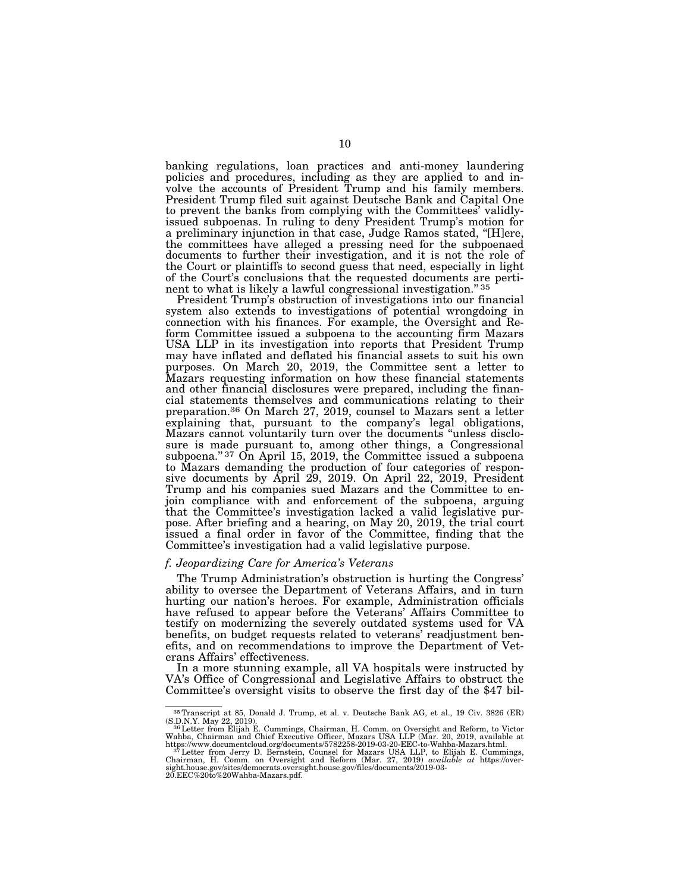banking regulations, loan practices and anti-money laundering policies and procedures, including as they are applied to and involve the accounts of President Trump and his family members. President Trump filed suit against Deutsche Bank and Capital One to prevent the banks from complying with the Committees' validlyissued subpoenas. In ruling to deny President Trump's motion for a preliminary injunction in that case, Judge Ramos stated, ''[H]ere, the committees have alleged a pressing need for the subpoenaed documents to further their investigation, and it is not the role of the Court or plaintiffs to second guess that need, especially in light of the Court's conclusions that the requested documents are pertinent to what is likely a lawful congressional investigation.'' 35

President Trump's obstruction of investigations into our financial system also extends to investigations of potential wrongdoing in connection with his finances. For example, the Oversight and Reform Committee issued a subpoena to the accounting firm Mazars USA LLP in its investigation into reports that President Trump may have inflated and deflated his financial assets to suit his own purposes. On March 20, 2019, the Committee sent a letter to Mazars requesting information on how these financial statements and other financial disclosures were prepared, including the financial statements themselves and communications relating to their preparation.36 On March 27, 2019, counsel to Mazars sent a letter explaining that, pursuant to the company's legal obligations, Mazars cannot voluntarily turn over the documents ''unless disclosure is made pursuant to, among other things, a Congressional subpoena."<sup>37</sup> On April 15, 2019, the Committee issued a subpoena to Mazars demanding the production of four categories of responsive documents by April 29, 2019. On April 22, 2019, President Trump and his companies sued Mazars and the Committee to enjoin compliance with and enforcement of the subpoena, arguing that the Committee's investigation lacked a valid legislative purpose. After briefing and a hearing, on May 20, 2019, the trial court issued a final order in favor of the Committee, finding that the Committee's investigation had a valid legislative purpose.

## *f. Jeopardizing Care for America's Veterans*

The Trump Administration's obstruction is hurting the Congress' ability to oversee the Department of Veterans Affairs, and in turn hurting our nation's heroes. For example, Administration officials have refused to appear before the Veterans' Affairs Committee to testify on modernizing the severely outdated systems used for VA benefits, on budget requests related to veterans' readjustment benefits, and on recommendations to improve the Department of Veterans Affairs' effectiveness.

In a more stunning example, all VA hospitals were instructed by VA's Office of Congressional and Legislative Affairs to obstruct the Committee's oversight visits to observe the first day of the \$47 bil-

<sup>35</sup>Transcript at 85, Donald J. Trump, et al. v. Deutsche Bank AG, et al., 19 Civ. 3826 (ER)

<sup>(</sup>S.D.N.Y. May 22, 2019).<br>
<sup>36</sup>Letter from Ellijah E. Cummings, Chairman, H. Comm. on Oversight and Reform, to Victor<br>
<sup>36</sup>Letter from Ellijah E. Cummings, Chairman, H. Comm. on Oversight and Reform, to Victor<br>
Wahba, Chai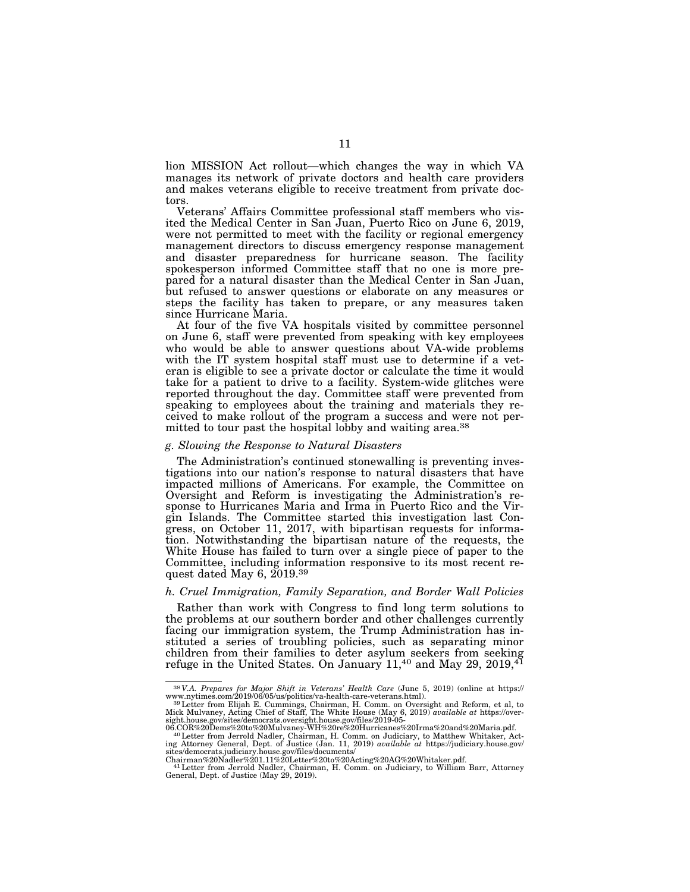lion MISSION Act rollout—which changes the way in which VA manages its network of private doctors and health care providers and makes veterans eligible to receive treatment from private doctors.

Veterans' Affairs Committee professional staff members who visited the Medical Center in San Juan, Puerto Rico on June 6, 2019, were not permitted to meet with the facility or regional emergency management directors to discuss emergency response management and disaster preparedness for hurricane season. The facility spokesperson informed Committee staff that no one is more prepared for a natural disaster than the Medical Center in San Juan, but refused to answer questions or elaborate on any measures or steps the facility has taken to prepare, or any measures taken since Hurricane Maria.

At four of the five VA hospitals visited by committee personnel on June 6, staff were prevented from speaking with key employees who would be able to answer questions about VA-wide problems with the IT system hospital staff must use to determine if a veteran is eligible to see a private doctor or calculate the time it would take for a patient to drive to a facility. System-wide glitches were reported throughout the day. Committee staff were prevented from speaking to employees about the training and materials they received to make rollout of the program a success and were not permitted to tour past the hospital lobby and waiting area.<sup>38</sup>

## *g. Slowing the Response to Natural Disasters*

The Administration's continued stonewalling is preventing investigations into our nation's response to natural disasters that have impacted millions of Americans. For example, the Committee on Oversight and Reform is investigating the Administration's response to Hurricanes Maria and Irma in Puerto Rico and the Virgin Islands. The Committee started this investigation last Congress, on October 11, 2017, with bipartisan requests for information. Notwithstanding the bipartisan nature of the requests, the White House has failed to turn over a single piece of paper to the Committee, including information responsive to its most recent request dated May 6, 2019.39

## *h. Cruel Immigration, Family Separation, and Border Wall Policies*

Rather than work with Congress to find long term solutions to the problems at our southern border and other challenges currently facing our immigration system, the Trump Administration has instituted a series of troubling policies, such as separating minor children from their families to deter asylum seekers from seeking refuge in the United States. On January  $11,40$  and May 29, 2019, $41$ 

 $^{38}V.A.$  Prepares for Major Shift in Veterans' Health Care (June 5, 2019) (online at https://www.nytimes.com/2019/06/05/us/politics/va-health-care-veterans.html).<br>
www.nytimes.com/2019/06/05/us/politics/va-health-care-ve

ing Attorney General, Dept. of Justice (Jan. 11, 2019) *available at* https://judiciary.house.gov/ sites/democrats.judiciary.house.gov/files/documents/

Chairman%20Nadler%201.11%20Letter%20to%20Acting%20AG%20Whitaker.pdf.<br>41Letter from Jerrold Nadler, Chairman, H. Comm. on Judiciary, to William Barr, Attorney<br>General, Dept. of Justice (May 29, 2019).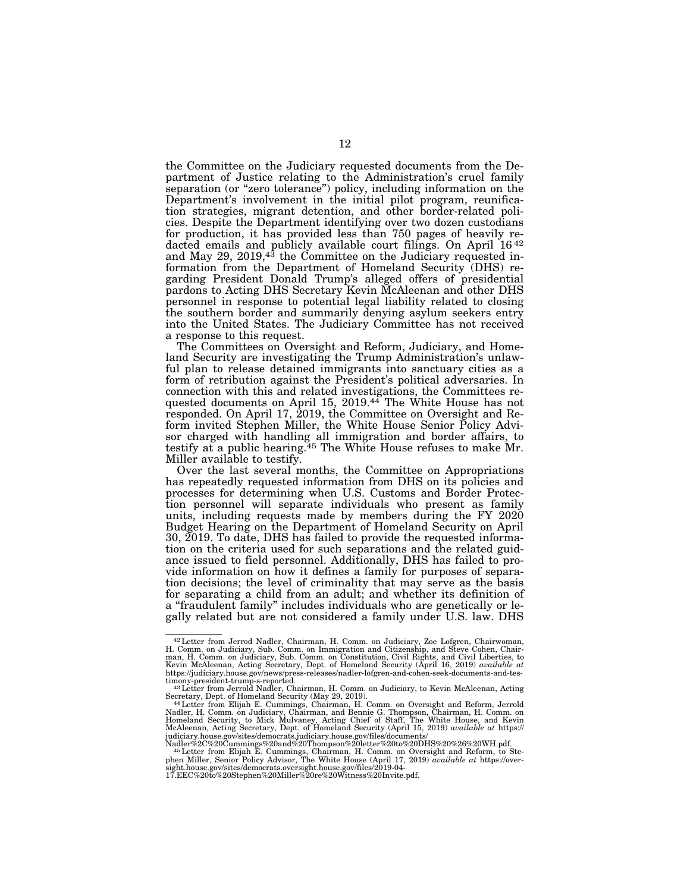the Committee on the Judiciary requested documents from the Department of Justice relating to the Administration's cruel family separation (or "zero tolerance") policy, including information on the Department's involvement in the initial pilot program, reunification strategies, migrant detention, and other border-related policies. Despite the Department identifying over two dozen custodians for production, it has provided less than 750 pages of heavily redacted emails and publicly available court filings. On April 16<sup>42</sup> and May 29, 2019,<sup>43</sup> the Committee on the Judiciary requested information from the Department of Homeland Security (DHS) regarding President Donald Trump's alleged offers of presidential pardons to Acting DHS Secretary Kevin McAleenan and other DHS personnel in response to potential legal liability related to closing the southern border and summarily denying asylum seekers entry into the United States. The Judiciary Committee has not received a response to this request.

The Committees on Oversight and Reform, Judiciary, and Homeland Security are investigating the Trump Administration's unlawful plan to release detained immigrants into sanctuary cities as a form of retribution against the President's political adversaries. In connection with this and related investigations, the Committees requested documents on April 15, 2019.<sup>44</sup> The White House has not responded. On April 17, 2019, the Committee on Oversight and Reform invited Stephen Miller, the White House Senior Policy Advisor charged with handling all immigration and border affairs, to testify at a public hearing.<sup>45</sup> The White House refuses to make  $Mr.$ Miller available to testify.

Over the last several months, the Committee on Appropriations has repeatedly requested information from DHS on its policies and processes for determining when U.S. Customs and Border Protection personnel will separate individuals who present as family units, including requests made by members during the FY 2020 Budget Hearing on the Department of Homeland Security on April 30, 2019. To date, DHS has failed to provide the requested information on the criteria used for such separations and the related guidance issued to field personnel. Additionally, DHS has failed to provide information on how it defines a family for purposes of separation decisions; the level of criminality that may serve as the basis for separating a child from an adult; and whether its definition of a ''fraudulent family'' includes individuals who are genetically or legally related but are not considered a family under U.S. law. DHS

<sup>&</sup>lt;sup>42</sup> Letter from Jerrod Nadler, Chairman, H. Comm. on Judiciary, Zoe Lofgren, Chairwoman, H. Comm. on Judiciary, Sub. Comm. on Immigration and Citizenship, and Steve Cohen, Chairman, H. Comm. on Judiciary, Sub. Comm. on Co Kevin McAleenan, Acting Secretary, Dept. of Homeland Security (April 16, 2019) *available at*  https://judiciary.house.gov/news/press-releases/nadler-lofgren-and-cohen-seek-documents-and-tes-

timony-president-trump-s-reported. 43Letter from Jerrold Nadler, Chairman, H. Comm. on Judiciary, to Kevin McAleenan, Acting

Secretary, Dept. of Homeland Security (May 29, 2019). 44Letter from Elijah E. Cummings, Chairman, H. Comm. on Oversight and Reform, Jerrold Nadler, H. Comm. on Judiciary, Chairman, and Bennie G. Thompson, Chairman, H. Comm. on<br>Homeland Security, to Mick Mulvaney, Acting Chief of Staff, The White House, and Kevin<br>McAleenan, Acting Secretary, Dept. of Homeland S

judiciary.house.gov/sites/democrats.judiciary.house.gov/files/documents/<br>Nadler%2C%20Cummings%20and%20Thompson%20letter%20to%20DHS%20%26%20WH.pdf.<br>145 Letter from Elijah E. Cummings, Chairman, H. Comm. on Oversight and Ref phen Miller, Senior Policy Advisor, The White House (April 17, 2019) *available at* https://over-<br>sight.house.gov/sites/democrats.oversight.house.gov/files/2019-04-<br>17.EEC%20to%20Stephen%20Miller%20re%20Witness%20Invite.pd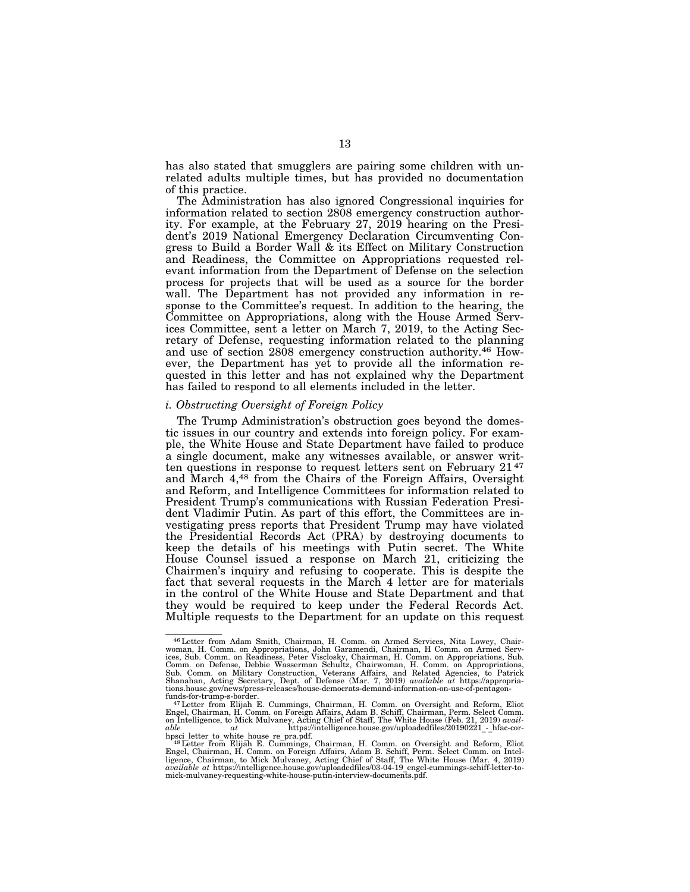has also stated that smugglers are pairing some children with unrelated adults multiple times, but has provided no documentation of this practice.

The Administration has also ignored Congressional inquiries for information related to section 2808 emergency construction authority. For example, at the February 27, 2019 hearing on the President's 2019 National Emergency Declaration Circumventing Congress to Build a Border Wall & its Effect on Military Construction and Readiness, the Committee on Appropriations requested relevant information from the Department of Defense on the selection process for projects that will be used as a source for the border wall. The Department has not provided any information in response to the Committee's request. In addition to the hearing, the Committee on Appropriations, along with the House Armed Services Committee, sent a letter on March 7, 2019, to the Acting Secretary of Defense, requesting information related to the planning and use of section 2808 emergency construction authority.46 However, the Department has yet to provide all the information requested in this letter and has not explained why the Department has failed to respond to all elements included in the letter.

## *i. Obstructing Oversight of Foreign Policy*

The Trump Administration's obstruction goes beyond the domestic issues in our country and extends into foreign policy. For example, the White House and State Department have failed to produce a single document, make any witnesses available, or answer written questions in response to request letters sent on February 21 47 and March 4,48 from the Chairs of the Foreign Affairs, Oversight and Reform, and Intelligence Committees for information related to President Trump's communications with Russian Federation President Vladimir Putin. As part of this effort, the Committees are investigating press reports that President Trump may have violated the Presidential Records Act (PRA) by destroying documents to keep the details of his meetings with Putin secret. The White House Counsel issued a response on March 21, criticizing the Chairmen's inquiry and refusing to cooperate. This is despite the fact that several requests in the March 4 letter are for materials in the control of the White House and State Department and that they would be required to keep under the Federal Records Act. Multiple requests to the Department for an update on this request

<sup>&</sup>lt;sup>46</sup> Letter from Adam Smith, Chairman, H. Comm. on Armed Services, Nita Lowey, Chairwoman, H. Comm. on Appropriations, John Garamendi, Chairman, H Comm. on Armed Services, Sub. Comm. on Readiness, Peter Visclosky, Chairman Comm. on Defense, Debbie Wasserman Schultz, Chairwoman, H. Comm. on Appropriations,<br>Sub. Comm. on Military Construction, Veterans Affairs, and Related Agencies, to Patrick<br>Shanahan, Acting Secretary, Dept. of Defense (Mar. tions.house.gov/news/press-releases/house-democrats-demand-information-on-use-of-pentagon-

funds-for-trump-s-border. 47Letter from Elijah E. Cummings, Chairman, H. Comm. on Oversight and Reform, Eliot Engel, Chairman, H. Comm. on Foreign Affairs, Adam B. Schiff, Chairman, Perm. Select Comm.<br>on Intelligence, to Mick Mulvaney, Acting Chief of Staff, The White House (Feb. 21, 2019) avail-<br>able at thtps://intelligence.house

hpsci letter to\_white\_house\_re\_pra.pdf.<br><sup>48</sup>Letter from Elijāh E. Cummings, Chairman, H. Comm. on Oversight and Reform, Eliot<br>Engel, Chairman, H. Comm. on Foreign Affairs, Adam B. Schiff, Perm. Select Comm. on Intel-<br>Engen mick-mulvaney-requesting-white-house-putin-interview-documents.pdf.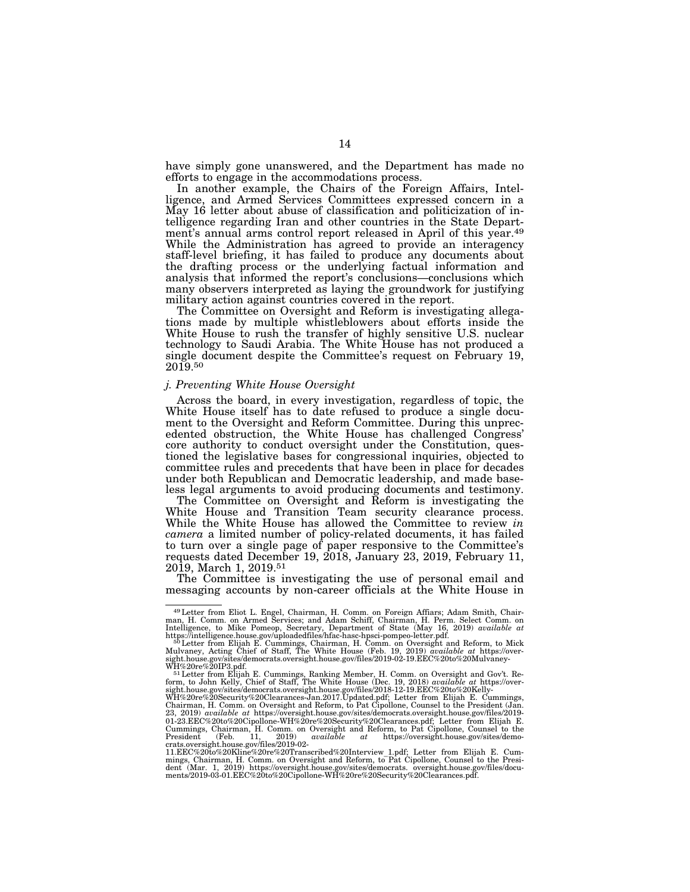have simply gone unanswered, and the Department has made no efforts to engage in the accommodations process.

In another example, the Chairs of the Foreign Affairs, Intelligence, and Armed Services Committees expressed concern in a May 16 letter about abuse of classification and politicization of intelligence regarding Iran and other countries in the State Department's annual arms control report released in April of this year.49 While the Administration has agreed to provide an interagency staff-level briefing, it has failed to produce any documents about the drafting process or the underlying factual information and analysis that informed the report's conclusions—conclusions which many observers interpreted as laying the groundwork for justifying military action against countries covered in the report.

The Committee on Oversight and Reform is investigating allegations made by multiple whistleblowers about efforts inside the White House to rush the transfer of highly sensitive U.S. nuclear technology to Saudi Arabia. The White House has not produced a single document despite the Committee's request on February 19, 2019.50

## *j. Preventing White House Oversight*

Across the board, in every investigation, regardless of topic, the White House itself has to date refused to produce a single document to the Oversight and Reform Committee. During this unprecedented obstruction, the White House has challenged Congress' core authority to conduct oversight under the Constitution, questioned the legislative bases for congressional inquiries, objected to committee rules and precedents that have been in place for decades under both Republican and Democratic leadership, and made baseless legal arguments to avoid producing documents and testimony.

The Committee on Oversight and Reform is investigating the White House and Transition Team security clearance process. While the White House has allowed the Committee to review *in camera* a limited number of policy-related documents, it has failed to turn over a single page of paper responsive to the Committee's requests dated December 19, 2018, January 23, 2019, February 11, 2019, March 1, 2019.51

The Committee is investigating the use of personal email and messaging accounts by non-career officials at the White House in

 $^{49}$  Letter from Eliot L. Engel, Chairman, H. Comm. on Foreign Affiars; Adam Smith, Chairman, H. Comm. on Armed Services; and Adam Schiff, Chairman, H. Perm. Select Comm. on Intelligence, to Mike Pomeop, Secretary, Depa

https://intelligence.house.gov/uploadedfiles/hfac-hasc-hpsci-pompeo-letter.pdf.<br><sup>50</sup> Letter from Elijah E. Cummings, Chairman, H. Comm. on Oversight and Reform, to Mick<br><sup>Mulvaney, Acting Chief of Staff, The White House (Fe</sup> sight.house.gov/sites/democrats.oversight.house.gov/files/2019-02-19.EEC%20to%20Mulvaney-<br>WH%20re%20IP3.pdf.

WH%20re%20IP3.pdf.<br>
<sup>51</sup>Letter from Elijah E. Cummings, Ranking Member, H. Comm. on Oversight and Gov't. Re<sup>51</sup>Letter from Elijah E. Cummings, Ranking Member, H. Comm. on Oversight house.<br>
form, to John Kelly, Chief of St

<sup>11.</sup>EEC%20to%20Kline%20re%20Transcribed%20Interview\_1.pdf; Letter from Elijah E. Cum-<br>mings, Chairman, H. Comm. on Oversight and Reform, to Pat Cipollone, Counsel to the Presi-<br>dent (Mar. 1, 2019) https://oversight.house.go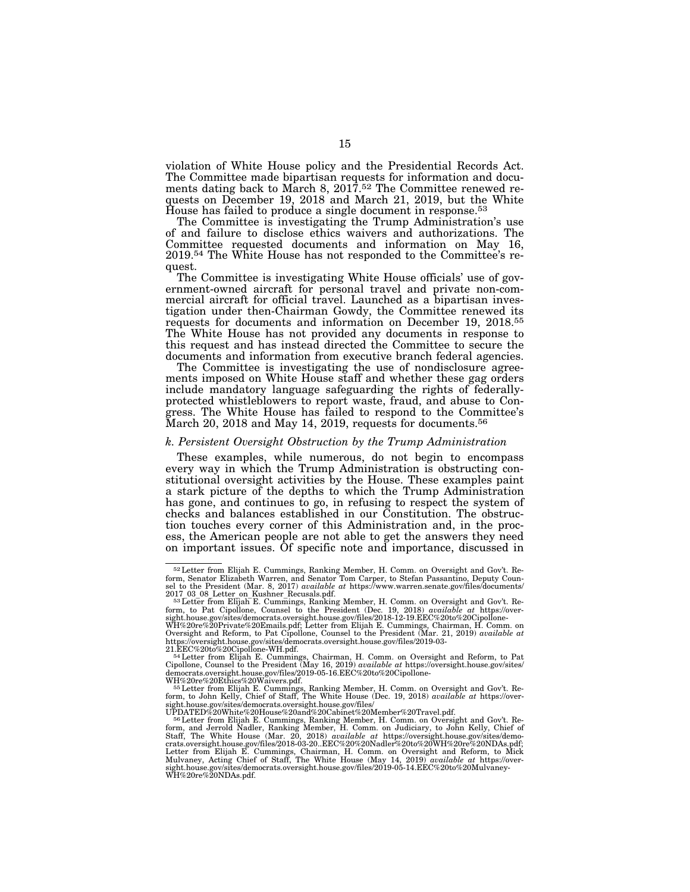violation of White House policy and the Presidential Records Act. The Committee made bipartisan requests for information and documents dating back to March 8, 2017.<sup>52</sup> The Committee renewed requests on December 19, 2018 and March 21, 2019, but the White House has failed to produce a single document in response.53

The Committee is investigating the Trump Administration's use of and failure to disclose ethics waivers and authorizations. The Committee requested documents and information on May 16, 2019.54 The White House has not responded to the Committee's request.

The Committee is investigating White House officials' use of government-owned aircraft for personal travel and private non-commercial aircraft for official travel. Launched as a bipartisan investigation under then-Chairman Gowdy, the Committee renewed its requests for documents and information on December 19, 2018.55 The White House has not provided any documents in response to this request and has instead directed the Committee to secure the documents and information from executive branch federal agencies.

The Committee is investigating the use of nondisclosure agreements imposed on White House staff and whether these gag orders include mandatory language safeguarding the rights of federallyprotected whistleblowers to report waste, fraud, and abuse to Congress. The White House has failed to respond to the Committee's March 20, 2018 and May 14, 2019, requests for documents.<sup>56</sup>

## *k. Persistent Oversight Obstruction by the Trump Administration*

These examples, while numerous, do not begin to encompass every way in which the Trump Administration is obstructing constitutional oversight activities by the House. These examples paint a stark picture of the depths to which the Trump Administration has gone, and continues to go, in refusing to respect the system of checks and balances established in our Constitution. The obstruction touches every corner of this Administration and, in the process, the American people are not able to get the answers they need on important issues. Of specific note and importance, discussed in

 $52$  Letter from Elijah E. Cummings, Ranking Member, H. Comm. on Oversight and Gov't. Reform, Senator Elizabeth Warren, and Senator Tom Carper, to Stefan Passantino, Deputy Counsel to the President (Mar. 8, 2017) *availab* 

<sup>2017 03 08</sup> Letter on Kushner Recusals.pdf.<br><sup>531</sup>Letter from Elijah E. Cummings, Ranking Member, H. Comm. on Oversight and Gov't. Re-<br><sup>form,</sup> to Pat Cipollone, Counsel to the President (Dec. 19, 2018) *available at* https:/

sight.house.gov/sites/democrats.oversight.house.gov/files/2018-12-19.EEC%20to%20Cipollone-<br>WH%20re%20Private%20Emails.pdf; Letter from Elijah E. Cummings, Chairman, H. Comm.<br>Oversight and Reform, to Pat Cipollone, Counsel https://oversight.house.gov/sites/democrats.oversight.house.gov/files/2019-03-<br>21.EEC%20to%20Cipollone-WH.pdf.<br><sup>54</sup>Letter from Elijah E. Cummings, Chairman, H. Comm. on Oversight and Reform, to Pat

Cipollone, Counsel to the President (May 16, 2019) *available at* https://oversight.house.gov/sites/ democrats.oversight.house.gov/files/2019-05-16.EEC%20to%20Cipollone-

WH%20re%20Ethics%20Waivers.pdf.<br><sup>55</sup>Letter from Elijah E. Cummings, Ranking Member, H. Comm. on Oversight and Gov't. Re-<br>form, to John Kelly, Chief of Staff, The White House (Dec. 19, 2018) *available at* https://over-<br>sig

UPDATED%20White%20House%20and%20Cabinet%20Member%20Travel.pdf.<br>
<sup>56</sup>Letter from Elijah E. Cummings, Ranking Member, H. Comm. on Oversight and Gov't. Refecter from and Jervicli Nadler, Ranking Member, H. Comm. on Judiciary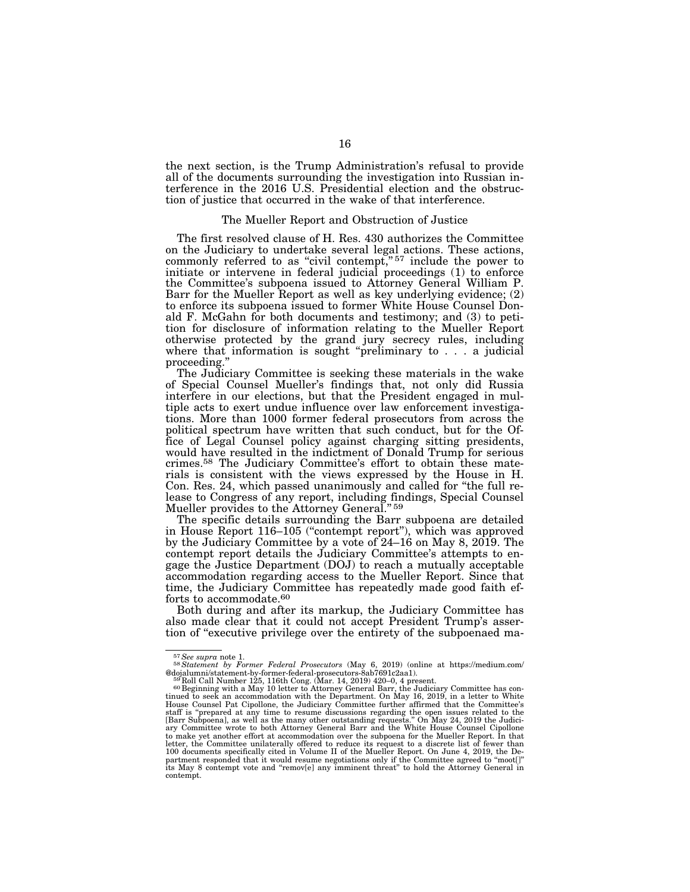the next section, is the Trump Administration's refusal to provide all of the documents surrounding the investigation into Russian interference in the 2016 U.S. Presidential election and the obstruction of justice that occurred in the wake of that interference.

#### The Mueller Report and Obstruction of Justice

The first resolved clause of H. Res. 430 authorizes the Committee on the Judiciary to undertake several legal actions. These actions, commonly referred to as "civil contempt,"<sup>57</sup> include the power to initiate or intervene in federal judicial proceedings (1) to enforce the Committee's subpoena issued to Attorney General William P. Barr for the Mueller Report as well as key underlying evidence; (2) to enforce its subpoena issued to former White House Counsel Donald F. McGahn for both documents and testimony; and (3) to petition for disclosure of information relating to the Mueller Report otherwise protected by the grand jury secrecy rules, including where that information is sought "preliminary to . . . a judicial proceeding.''

The Judiciary Committee is seeking these materials in the wake of Special Counsel Mueller's findings that, not only did Russia interfere in our elections, but that the President engaged in multiple acts to exert undue influence over law enforcement investigations. More than 1000 former federal prosecutors from across the political spectrum have written that such conduct, but for the Office of Legal Counsel policy against charging sitting presidents, would have resulted in the indictment of Donald Trump for serious crimes.58 The Judiciary Committee's effort to obtain these materials is consistent with the views expressed by the House in H. Con. Res. 24, which passed unanimously and called for ''the full release to Congress of any report, including findings, Special Counsel Mueller provides to the Attorney General."<sup>59</sup>

The specific details surrounding the Barr subpoena are detailed in House Report 116–105 (''contempt report''), which was approved by the Judiciary Committee by a vote of 24–16 on May 8, 2019. The contempt report details the Judiciary Committee's attempts to engage the Justice Department (DOJ) to reach a mutually acceptable accommodation regarding access to the Mueller Report. Since that time, the Judiciary Committee has repeatedly made good faith efforts to accommodate.60

Both during and after its markup, the Judiciary Committee has also made clear that it could not accept President Trump's assertion of ''executive privilege over the entirety of the subpoenaed ma-

<sup>57</sup>*See supra* note 1. 58*Statement by Former Federal Prosecutors* (May 6, 2019) (online at https://medium.com/ @dojalumni/statement-by-former-federal-prosecutors-8ab7691c2aa1).<br><sup>59</sup> Roll Call Number 125, 116th Cong. (Mar. 14, 2019) 420–0, 4 present.<br><sup>60</sup> Beginning with a May 10 letter to Attorney General Barr, the Judiciary Committ

tinued to seek an accommodation with the Department. On May 16, 2019, in a letter to White House Counsel Pat Cipollone, the Judiciary Committee further affirmed that the Committee's staff is "prepared at any time to resume discussions regarding the open issues related to the<br>[Barr Subpoena], as well as the many other outstanding requests." On May 24, 2019 the Judici-<br>ary Committee wrote to both Attorn to make yet another effort at accommodation over the subpoena for the Mueller Report. In that letter, the Committee unilaterally offered to reduce its request to a discrete list of fewer than 100 documents specifically cited in Volume II of the Mueller Report. On June 4, 2019, the Department responded that it would resume negotiations only if the Committee agreed to ''moot[]'' its May 8 contempt vote and ''remov[e] any imminent threat'' to hold the Attorney General in contempt.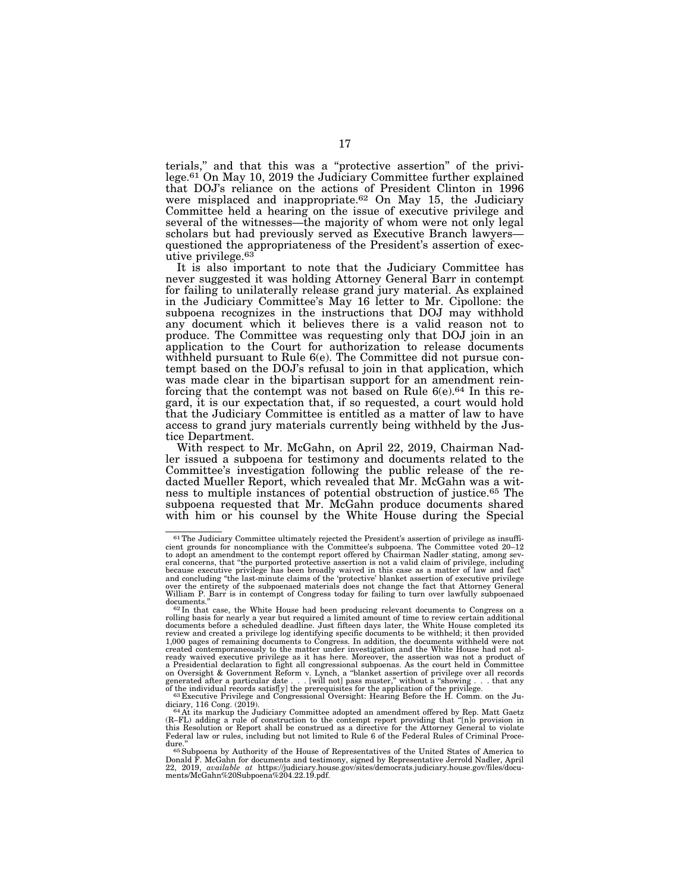terials,'' and that this was a ''protective assertion'' of the privilege.<sup>61</sup> On May 10, 2019 the Judiciary Committee further explained that DOJ's reliance on the actions of President Clinton in 1996 were misplaced and inappropriate.<sup>62</sup> On May 15, the Judiciary Committee held a hearing on the issue of executive privilege and several of the witnesses—the majority of whom were not only legal scholars but had previously served as Executive Branch lawyers questioned the appropriateness of the President's assertion of executive privilege.63

It is also important to note that the Judiciary Committee has never suggested it was holding Attorney General Barr in contempt for failing to unilaterally release grand jury material. As explained in the Judiciary Committee's May 16 letter to Mr. Cipollone: the subpoena recognizes in the instructions that DOJ may withhold any document which it believes there is a valid reason not to produce. The Committee was requesting only that DOJ join in an application to the Court for authorization to release documents withheld pursuant to Rule 6(e). The Committee did not pursue contempt based on the DOJ's refusal to join in that application, which was made clear in the bipartisan support for an amendment reinforcing that the contempt was not based on Rule 6(e).64 In this regard, it is our expectation that, if so requested, a court would hold that the Judiciary Committee is entitled as a matter of law to have access to grand jury materials currently being withheld by the Justice Department.

With respect to Mr. McGahn, on April 22, 2019, Chairman Nadler issued a subpoena for testimony and documents related to the Committee's investigation following the public release of the redacted Mueller Report, which revealed that Mr. McGahn was a witness to multiple instances of potential obstruction of justice.65 The subpoena requested that Mr. McGahn produce documents shared with him or his counsel by the White House during the Special

<sup>61</sup>The Judiciary Committee ultimately rejected the President's assertion of privilege as insufficient grounds for noncompliance with the Committee's subpoena. The Committee voted 20–12 to adopt an amendment to the contempt report offered by Chairman Nadler stating, among sev-eral concerns, that ''the purported protective assertion is not a valid claim of privilege, including because executive privilege has been broadly waived in this case as a matter of law and fact"<br>and concluding "the last-minute claims of the 'protective' blanket assertion of executive privilege<br>over the entirety of the sub William P. Barr is in contempt of Congress today for failing to turn over lawfully subpoenaed

 $\frac{1}{2}$  documents."<br>  $\frac{62 \text{ In that case, the White House had been producing relevant documents to Congress on a  
\n
$$
\frac{1}{2} = \frac{1}{2} \cdot \frac{1}{2} \cdot \frac{1}{2} \cdot \frac{1}{2} \cdot \frac{1}{2} \cdot \frac{1}{2} \cdot \frac{1}{2} \cdot \frac{1}{2} \cdot \frac{1}{2} \cdot \frac{1}{2} \cdot \frac{1}{2} \cdot \frac{1}{2} \cdot \frac{1}{2} \cdot \frac{1}{2} \cdot \frac{1}{2} \cdot \frac{1}{2} \cdot \frac{1}{2} \cdot \frac{1
$$$ rolling basis for nearly a year but required a limited amount of time to review certain additional<br>documents before a scheduled deadline. Just fifteen days later, the White House completed its<br>review and created a privileg 1,000 pages of remaining documents to Congress. In addition, the documents withheld were not created contemporaneously to the matter under investigation and the White House had not al-ready waived executive privilege as it has here. Moreover, the assertion was not a product of a Presidential declaration to fight all congressional subpoenas. As the court held in Committee on Oversight & Government Reform v. Lynch, a ''blanket assertion of privilege over all records generated after a particular date . . . [will not] pass muster,'' without a ''showing . . . that any of the individual records satisf[y] the prerequisites for the application of the privilege.<br><sup>63</sup> Executive Privilege and Congressional Oversight: Hearing Before the H. Comm. on the Ju-

diciary, 116 Cong. (2019).<br><sup>64</sup> At its markup the Judiciary Committee adopted an amendment offered by Rep. Matt Gaetz

<sup>(</sup>R–FL) adding a rule of construction to the contempt report providing that ''[n]o provision in this Resolution or Report shall be construed as a directive for the Attorney General to violate Federal law or rules, including but not limited to Rule 6 of the Federal Rules of Criminal Proce-

dure.'' 65Subpoena by Authority of the House of Representatives of the United States of America to Donald F. McGahn for documents and testimony, signed by Representative Jerrold Nadler, April<br>22, 2019, *available at* https://judiciary.house.gov/sites/democrats.judiciary.house.gov/files/docu-<br>ments/McGahn%20Subpoena%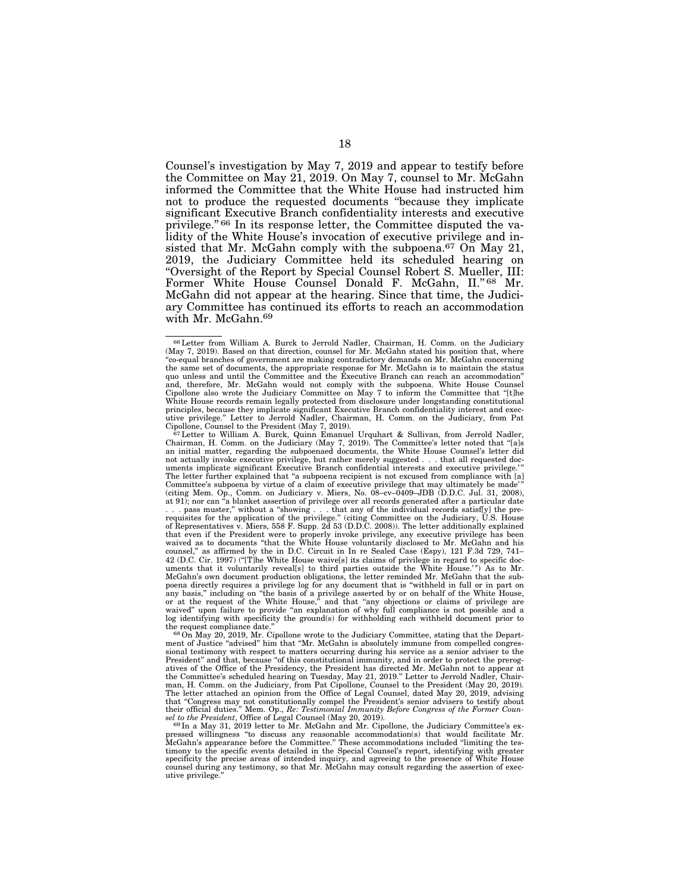Counsel's investigation by May 7, 2019 and appear to testify before the Committee on May 21, 2019. On May 7, counsel to Mr. McGahn informed the Committee that the White House had instructed him not to produce the requested documents ''because they implicate significant Executive Branch confidentiality interests and executive privilege.'' 66 In its response letter, the Committee disputed the validity of the White House's invocation of executive privilege and insisted that Mr. McGahn comply with the subpoena.<sup>67</sup> On May 21, 2019, the Judiciary Committee held its scheduled hearing on ''Oversight of the Report by Special Counsel Robert S. Mueller, III: Former White House Counsel Donald F. McGahn, II." 68 Mr. McGahn did not appear at the hearing. Since that time, the Judiciary Committee has continued its efforts to reach an accommodation with Mr. McGahn.69

 $^{66}$  Letter from William A. Burck to Jerrold Nadler, Chairman, H. Comm. on the Judiciary (May 7, 2019). Based on that direction, counsel for Mr. McGahn stated his position that, where ''co-equal branches of government are making contradictory demands on Mr. McGahn concerning the same set of documents, the appropriate response for Mr. McGahn is to maintain the status quo unless and until the Committee and the Executive Branch can reach an accommodation'' and, therefore, Mr. McGahn would not comply with the subpoena. White House Counsel<br>Cipollone also wrote the Judiciary Committee on May 7 to inform the Committee that "[t]he<br>White House records remain legally protected from principles, because they implicate significant Executive Branch confidentiality interest and executive privilege." Letter to Jerrold Nadler, Chairman, H. Comm. on the Judiciary, from Pat Cipollone, Counsel to the President

Chairman, H. Comm. on the Judiciary (May 7, 2019). The Committee's letter noted that ''[a]s an initial matter, regarding the subpoenaed documents, the White House Counsel's letter did not actually invoke executive privilege, but rather merely suggested . . . that all requested doc-<br>uments implicate significant Executive Branch confidential interests and executive privilege.'" The letter further explained that ''a subpoena recipient is not excused from compliance with [a] Committee's subpoena by virtue of a claim of executive privilege that may ultimately be made' '' (citing Mem. Op., Comm. on Judiciary v. Miers, No. 08–cv–0409–JDB (D.D.C. Jul. 31, 2008), at 91); nor can "a blanket assertion of privilege over all records generated after a particular date ... pass muster," without a "showing ... that any of the individual records satisfly] the pre-<br>requisites for the application of the privilege." (citing Committee on the Judiciary, U.S. House<br>of Representatives v. Miers, 5 that even if the President were to properly invoke privilege, any executive privilege has been<br>waived as to documents "that the White House voluntarily disclosed to Mr. McGahn and his<br>counsel," as affirmed by the in D.C. C 42 (D.C. Cir. 1997) (''[T]he White House waive[s] its claims of privilege in regard to specific doc-uments that it voluntarily reveal[s] to third parties outside the White House.' '') As to Mr. McGahn's own document production obligations, the letter reminded Mr. McGahn that the subpoena directly requires a privilege log for any document that is "withheld in full or in part on<br>any basis," including on "the basis of a privilege asserted by or on behalf of the White House,<br>or at the request of the Whit log identifying with specificity the ground(s) for withholding each withheld document prior to

the request compliance date."<br><sup>68</sup>On May 20, 2019, Mr. Cipollone wrote to the Judiciary Committee, stating that the Depart-<br>ment of Justice "advised" him that "Mr. McGahn is absolutely immune from compelled congressional testimony with respect to matters occurring during his service as a senior adviser to the President'' and that, because ''of this constitutional immunity, and in order to protect the prerogatives of the Office of the Presidency, the President has directed Mr. McGahn not to appear at the Committee's scheduled hearing on Tuesday, May 21, 2019.'' Letter to Jerrold Nadler, Chairman, H. Comm. on the Judiciary, from Pat Cipollone, Counsel to the President (May 20, 2019). The letter attached an opinion from the Office of Legal Counsel, dated May 20, 2019, advising that "Congress may not constitutionally compel the President's senior advisers to testify about<br>their official duties." Mem. Op., *Re: Testimonial Immunity Before Congress of the Former Counsel* to the President, Office o

pressed willingness "to discuss any reasonable accommodation(s) that would facilitate Mr.<br>McGahn's appearance before the Committee." These accommodations included "limiting the testimony to the specific events detailed in the Special Counsel's report, identifying with greater<br>specificity the precise areas of intended inquiry, and agreeing to the presence of White House<br>counsel during any testimony, utive privilege.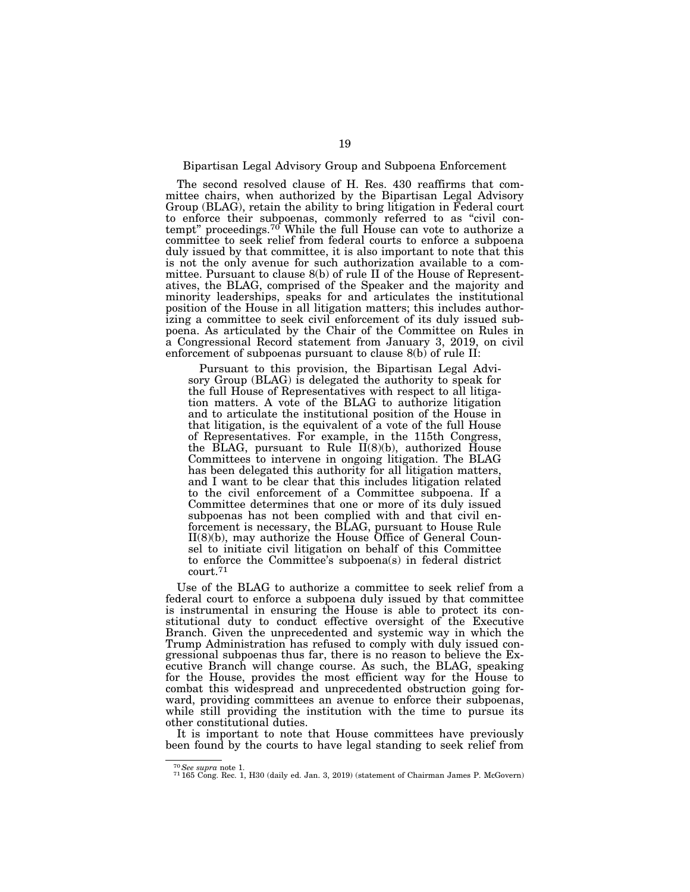## Bipartisan Legal Advisory Group and Subpoena Enforcement

The second resolved clause of H. Res. 430 reaffirms that committee chairs, when authorized by the Bipartisan Legal Advisory Group (BLAG), retain the ability to bring litigation in Federal court to enforce their subpoenas, commonly referred to as ''civil contempt" proceedings.<sup>70</sup> While the full House can vote to authorize a committee to seek relief from federal courts to enforce a subpoena duly issued by that committee, it is also important to note that this is not the only avenue for such authorization available to a committee. Pursuant to clause 8(b) of rule II of the House of Representatives, the BLAG, comprised of the Speaker and the majority and minority leaderships, speaks for and articulates the institutional position of the House in all litigation matters; this includes authorizing a committee to seek civil enforcement of its duly issued subpoena. As articulated by the Chair of the Committee on Rules in a Congressional Record statement from January 3, 2019, on civil enforcement of subpoenas pursuant to clause 8(b) of rule II:

Pursuant to this provision, the Bipartisan Legal Advisory Group (BLAG) is delegated the authority to speak for the full House of Representatives with respect to all litigation matters. A vote of the BLAG to authorize litigation and to articulate the institutional position of the House in that litigation, is the equivalent of a vote of the full House of Representatives. For example, in the 115th Congress, the BLAG, pursuant to Rule II(8)(b), authorized House Committees to intervene in ongoing litigation. The BLAG has been delegated this authority for all litigation matters, and I want to be clear that this includes litigation related to the civil enforcement of a Committee subpoena. If a Committee determines that one or more of its duly issued subpoenas has not been complied with and that civil enforcement is necessary, the BLAG, pursuant to House Rule II(8)(b), may authorize the House Office of General Counsel to initiate civil litigation on behalf of this Committee to enforce the Committee's subpoena(s) in federal district court.71

Use of the BLAG to authorize a committee to seek relief from a federal court to enforce a subpoena duly issued by that committee is instrumental in ensuring the House is able to protect its constitutional duty to conduct effective oversight of the Executive Branch. Given the unprecedented and systemic way in which the Trump Administration has refused to comply with duly issued congressional subpoenas thus far, there is no reason to believe the Executive Branch will change course. As such, the BLAG, speaking for the House, provides the most efficient way for the House to combat this widespread and unprecedented obstruction going forward, providing committees an avenue to enforce their subpoenas, while still providing the institution with the time to pursue its other constitutional duties.

It is important to note that House committees have previously been found by the courts to have legal standing to seek relief from

<sup>70</sup>*See supra* note 1. 71 165 Cong. Rec. 1, H30 (daily ed. Jan. 3, 2019) (statement of Chairman James P. McGovern)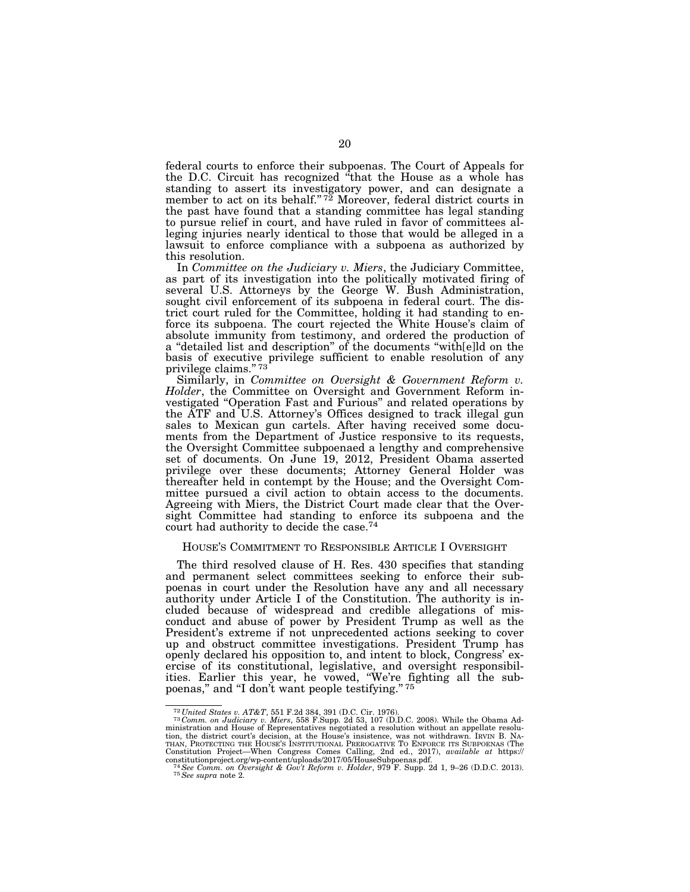federal courts to enforce their subpoenas. The Court of Appeals for the D.C. Circuit has recognized ''that the House as a whole has standing to assert its investigatory power, and can designate a member to act on its behalf."<sup>72</sup> Moreover, federal district courts in the past have found that a standing committee has legal standing to pursue relief in court, and have ruled in favor of committees alleging injuries nearly identical to those that would be alleged in a lawsuit to enforce compliance with a subpoena as authorized by this resolution.

In *Committee on the Judiciary v. Miers*, the Judiciary Committee, as part of its investigation into the politically motivated firing of several U.S. Attorneys by the George W. Bush Administration, sought civil enforcement of its subpoena in federal court. The district court ruled for the Committee, holding it had standing to enforce its subpoena. The court rejected the White House's claim of absolute immunity from testimony, and ordered the production of a ''detailed list and description'' of the documents ''with[e]ld on the basis of executive privilege sufficient to enable resolution of any privilege claims."<sup>73</sup>

Similarly, in *Committee on Oversight & Government Reform v. Holder*, the Committee on Oversight and Government Reform investigated "Operation Fast and Furious" and related operations by the ATF and U.S. Attorney's Offices designed to track illegal gun sales to Mexican gun cartels. After having received some documents from the Department of Justice responsive to its requests, the Oversight Committee subpoenaed a lengthy and comprehensive set of documents. On June 19, 2012, President Obama asserted privilege over these documents; Attorney General Holder was thereafter held in contempt by the House; and the Oversight Committee pursued a civil action to obtain access to the documents. Agreeing with Miers, the District Court made clear that the Oversight Committee had standing to enforce its subpoena and the court had authority to decide the case.74

#### HOUSE'S COMMITMENT TO RESPONSIBLE ARTICLE I OVERSIGHT

The third resolved clause of H. Res. 430 specifies that standing and permanent select committees seeking to enforce their subpoenas in court under the Resolution have any and all necessary authority under Article I of the Constitution. The authority is included because of widespread and credible allegations of misconduct and abuse of power by President Trump as well as the President's extreme if not unprecedented actions seeking to cover up and obstruct committee investigations. President Trump has openly declared his opposition to, and intent to block, Congress' exercise of its constitutional, legislative, and oversight responsibilities. Earlier this year, he vowed, ''We're fighting all the subpoenas," and "I don't want people testifying." 75

 $^{72}$ United States v. AT&T, 551 F.2d 384, 391 (D.C. Cir. 1976).<br> $^{73}$ Comm. on Judiciary v. Miers, 558 F.Supp. 2d 53, 107 (D.D.C. 2008). While the Obama Administration and House of Representatives negotiated a resolution tion, the district court's decision, at the House's insistence, was not withdrawn. IRVIN B. NA-<br>THAN, PROTECTING THE HOUSE's INSTITUTONAL PREROGATIVE TO ENFORCE ITS SUBPOENAS (The<br>Constitution Project—When Congress Comes C

constitutionproject.org/wp-content/uploads/2017/05/HouseSubpoenas.pdf. 74*See Comm. on Oversight & Gov't Reform v. Holder*, 979 F. Supp. 2d 1, 9–26 (D.D.C. 2013). 75*See supra* note 2.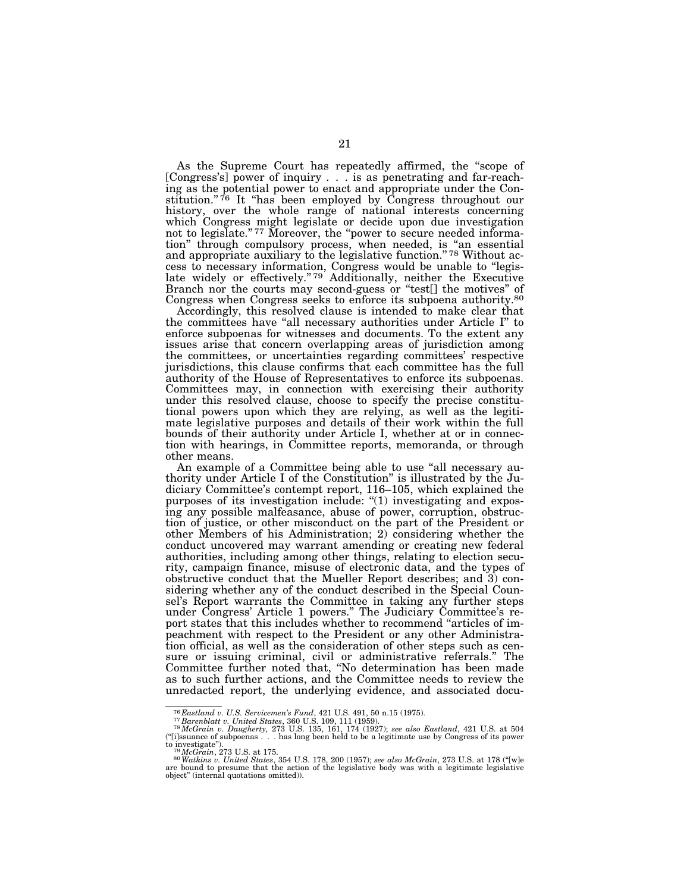As the Supreme Court has repeatedly affirmed, the ''scope of [Congress's] power of inquiry . . . is as penetrating and far-reaching as the potential power to enact and appropriate under the Constitution."<sup>76</sup> It "has been employed by Congress throughout our history, over the whole range of national interests concerning which Congress might legislate or decide upon due investigation not to legislate."<sup>77</sup> Moreover, the "power to secure needed information'' through compulsory process, when needed, is ''an essential and appropriate auxiliary to the legislative function."<sup>78</sup> Without access to necessary information, Congress would be unable to ''legislate widely or effectively."<sup>79</sup> Additionally, neither the Executive Branch nor the courts may second-guess or "test[] the motives" of Congress when Congress seeks to enforce its subpoena authority.80

Accordingly, this resolved clause is intended to make clear that the committees have "all necessary authorities under Article I" to enforce subpoenas for witnesses and documents. To the extent any issues arise that concern overlapping areas of jurisdiction among the committees, or uncertainties regarding committees' respective jurisdictions, this clause confirms that each committee has the full authority of the House of Representatives to enforce its subpoenas. Committees may, in connection with exercising their authority under this resolved clause, choose to specify the precise constitutional powers upon which they are relying, as well as the legitimate legislative purposes and details of their work within the full bounds of their authority under Article I, whether at or in connection with hearings, in Committee reports, memoranda, or through other means.

An example of a Committee being able to use "all necessary authority under Article I of the Constitution'' is illustrated by the Judiciary Committee's contempt report, 116–105, which explained the purposes of its investigation include: ''(1) investigating and exposing any possible malfeasance, abuse of power, corruption, obstruction of justice, or other misconduct on the part of the President or other Members of his Administration; 2) considering whether the conduct uncovered may warrant amending or creating new federal authorities, including among other things, relating to election security, campaign finance, misuse of electronic data, and the types of obstructive conduct that the Mueller Report describes; and 3) considering whether any of the conduct described in the Special Counsel's Report warrants the Committee in taking any further steps under Congress' Article 1 powers.'' The Judiciary Committee's report states that this includes whether to recommend ''articles of impeachment with respect to the President or any other Administration official, as well as the consideration of other steps such as censure or issuing criminal, civil or administrative referrals.'' The Committee further noted that, ''No determination has been made as to such further actions, and the Committee needs to review the unredacted report, the underlying evidence, and associated docu-

<sup>&</sup>lt;sup>76</sup> Eastland v. U.S. Servicemen's Fund, 421 U.S. 491, 50 n.15 (1975).<br><sup>77</sup> Barenblatt v. United States, 360 U.S. 109, 111 (1959).<br><sup>78</sup> McGrain v. Daugherty, 273 U.S. 135, 161, 174 (1927); see also Eastland, 421 U.S. at 50 (''[i]ssuance of subpoenas . . . has long been held to be a legitimate use by Congress of its power

to investigate").<br><sup>79</sup> McGrain, 273 U.S. at 175.<br><sup>80</sup> Watkins v. United States, 354 U.S. 178, 200 (1957); see also McGrain, 273 U.S. at 178 ("[w]e<br>are bound to presume that the action of the legislative body was with a leg object'' (internal quotations omitted)).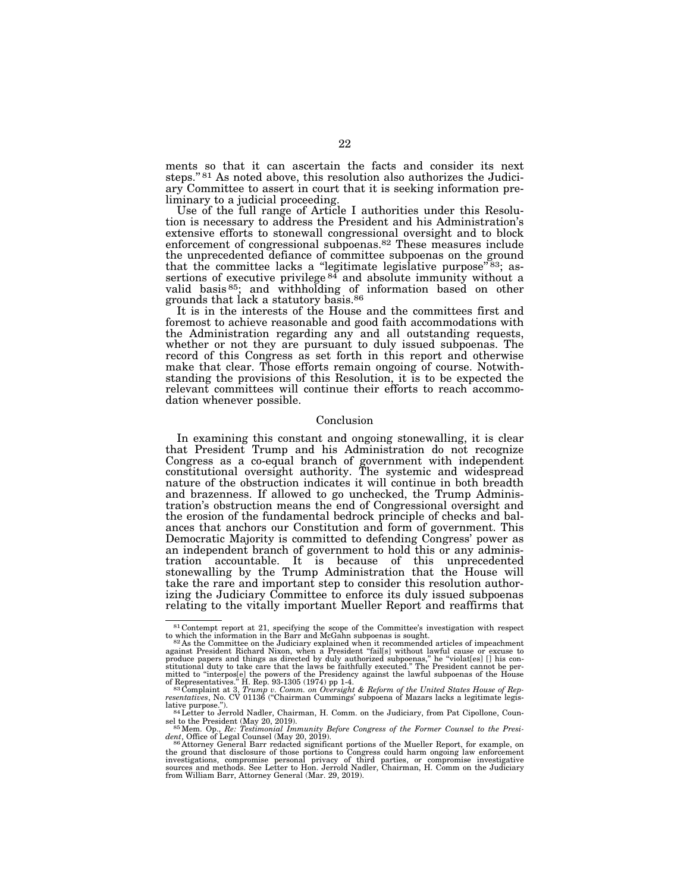ments so that it can ascertain the facts and consider its next steps.'' 81 As noted above, this resolution also authorizes the Judiciary Committee to assert in court that it is seeking information preliminary to a judicial proceeding.

Use of the full range of Article I authorities under this Resolution is necessary to address the President and his Administration's extensive efforts to stonewall congressional oversight and to block enforcement of congressional subpoenas.82 These measures include the unprecedented defiance of committee subpoenas on the ground that the committee lacks a "legitimate legislative purpose"<sup>83</sup>; assertions of executive privilege  $84$  and absolute immunity without a valid basis 85; and withholding of information based on other grounds that lack a statutory basis.86

It is in the interests of the House and the committees first and foremost to achieve reasonable and good faith accommodations with the Administration regarding any and all outstanding requests, whether or not they are pursuant to duly issued subpoenas. The record of this Congress as set forth in this report and otherwise make that clear. Those efforts remain ongoing of course. Notwithstanding the provisions of this Resolution, it is to be expected the relevant committees will continue their efforts to reach accommodation whenever possible.

### Conclusion

In examining this constant and ongoing stonewalling, it is clear that President Trump and his Administration do not recognize Congress as a co-equal branch of government with independent constitutional oversight authority. The systemic and widespread nature of the obstruction indicates it will continue in both breadth and brazenness. If allowed to go unchecked, the Trump Administration's obstruction means the end of Congressional oversight and the erosion of the fundamental bedrock principle of checks and balances that anchors our Constitution and form of government. This Democratic Majority is committed to defending Congress' power as an independent branch of government to hold this or any administration accountable. It is because of this unprecedented stonewalling by the Trump Administration that the House will take the rare and important step to consider this resolution authorizing the Judiciary Committee to enforce its duly issued subpoenas relating to the vitally important Mueller Report and reaffirms that

<sup>81</sup> Contempt report at 21, specifying the scope of the Committee's investigation with respect

to which the information in the Barr and McGahn subpoenas is sought.<br><sup>82</sup> As the Committee on the Judiciary explained when it recommended articles of impeachment<br>produce papers and things as directed by duly authorized su

mitted to "interpos[e] the powers of the Presidency against the lawful subpoenas of the House<br>of Representatives." H. Rep. 93-1305 (1974) pp 1-4.<br><sup>83</sup>Complaint at 3, Trump v. Comm. on Oversight & Reform of the United Stat

sel to the President (May 20, 2019).<br><sup>85</sup> Mem. Op., *Re: Testimonial Immunity Before Congress of the Former Counsel to the Presi-*

*dent*, Office of Legal Counsel (May 20, 2019). 86 Attorney General Barr redacted significant portions of the Mueller Report, for example, on

the ground that disclosure of those portions to Congress could harm ongoing law enforcement<br>investigations, compromise personal privacy of third parties, or compromise investigative<br>sources and methods. See Letter to Hon. from William Barr, Attorney General (Mar. 29, 2019).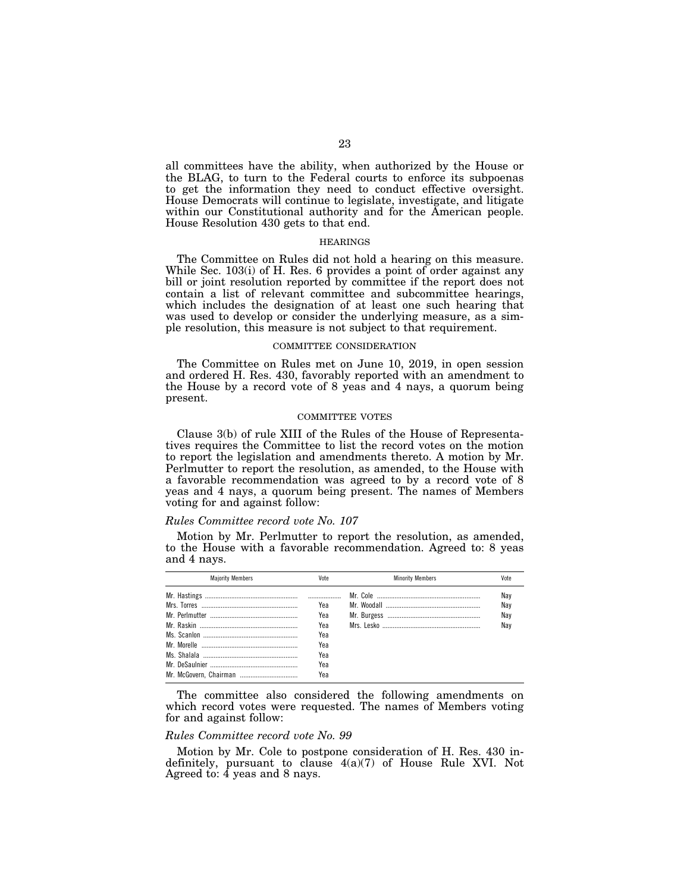all committees have the ability, when authorized by the House or the BLAG, to turn to the Federal courts to enforce its subpoenas to get the information they need to conduct effective oversight. House Democrats will continue to legislate, investigate, and litigate within our Constitutional authority and for the American people. House Resolution 430 gets to that end.

### HEARINGS

The Committee on Rules did not hold a hearing on this measure. While Sec. 103(i) of H. Res. 6 provides a point of order against any bill or joint resolution reported by committee if the report does not contain a list of relevant committee and subcommittee hearings, which includes the designation of at least one such hearing that was used to develop or consider the underlying measure, as a simple resolution, this measure is not subject to that requirement.

#### COMMITTEE CONSIDERATION

The Committee on Rules met on June 10, 2019, in open session and ordered H. Res. 430, favorably reported with an amendment to the House by a record vote of 8 yeas and 4 nays, a quorum being present.

## COMMITTEE VOTES

Clause 3(b) of rule XIII of the Rules of the House of Representatives requires the Committee to list the record votes on the motion to report the legislation and amendments thereto. A motion by Mr. Perlmutter to report the resolution, as amended, to the House with a favorable recommendation was agreed to by a record vote of 8 yeas and 4 nays, a quorum being present. The names of Members voting for and against follow:

## *Rules Committee record vote No. 107*

Motion by Mr. Perlmutter to report the resolution, as amended, to the House with a favorable recommendation. Agreed to: 8 yeas and 4 nays.

| <b>Maiority Members</b> | Vote | <b>Minority Members</b> | Vote |
|-------------------------|------|-------------------------|------|
|                         |      |                         | Nay  |
|                         | Yea  |                         | Nay  |
|                         | Yea  |                         | Nay  |
|                         | Yea  |                         | Nav  |
|                         | Yea  |                         |      |
|                         | Yea  |                         |      |
|                         | Yea  |                         |      |
|                         | Yea  |                         |      |
|                         | Yea  |                         |      |

The committee also considered the following amendments on which record votes were requested. The names of Members voting for and against follow:

## *Rules Committee record vote No. 99*

Motion by Mr. Cole to postpone consideration of H. Res. 430 indefinitely, pursuant to clause 4(a)(7) of House Rule XVI. Not Agreed to:  $\overline{4}$  yeas and 8 nays.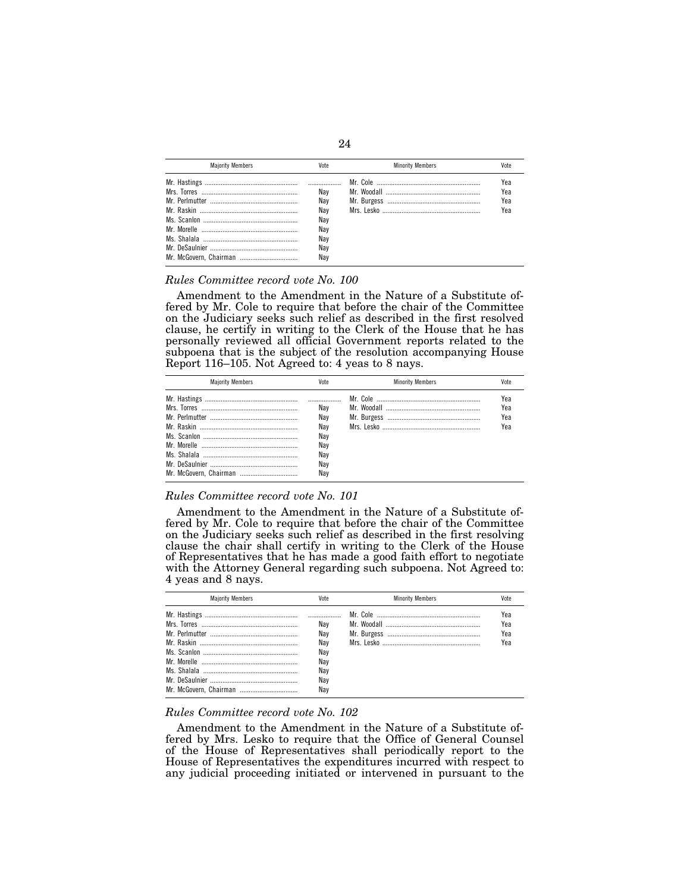| <b>Maiority Members</b> | Vote                                                 | <b>Minority Members</b> | Vote                     |
|-------------------------|------------------------------------------------------|-------------------------|--------------------------|
|                         | Nav<br>Nav<br>Nav<br>Nav<br>Nav<br>Nav<br>Nav<br>Nav |                         | Yea<br>Yea<br>Yea<br>Yea |

## *Rules Committee record vote No. 100*

Amendment to the Amendment in the Nature of a Substitute offered by Mr. Cole to require that before the chair of the Committee on the Judiciary seeks such relief as described in the first resolved clause, he certify in writing to the Clerk of the House that he has personally reviewed all official Government reports related to the subpoena that is the subject of the resolution accompanying House Report 116–105. Not Agreed to: 4 yeas to 8 nays.

| <b>Maiority Members</b> | Vote                                   | <b>Minority Members</b> | Vnte                     |
|-------------------------|----------------------------------------|-------------------------|--------------------------|
|                         | Nav<br>Nav<br>Nav<br>Nav<br>Nav<br>Nav |                         | Yea<br>Yea<br>Yea<br>Yea |
|                         | Nav<br>Nav                             |                         |                          |

## *Rules Committee record vote No. 101*

Amendment to the Amendment in the Nature of a Substitute offered by Mr. Cole to require that before the chair of the Committee on the Judiciary seeks such relief as described in the first resolving clause the chair shall certify in writing to the Clerk of the House of Representatives that he has made a good faith effort to negotiate with the Attorney General regarding such subpoena. Not Agreed to: 4 yeas and 8 nays.

| <b>Majority Members</b> | Vote | <b>Minority Members</b> | Vote |
|-------------------------|------|-------------------------|------|
|                         |      |                         | Yea  |
|                         | Nav  |                         | Yea  |
|                         | Nav  |                         | Yea  |
|                         | Nav  |                         | Үеа  |
|                         | Nav  |                         |      |
|                         | Nav  |                         |      |
|                         | Nav  |                         |      |
|                         | Nav  |                         |      |
|                         | Nav  |                         |      |

## *Rules Committee record vote No. 102*

Amendment to the Amendment in the Nature of a Substitute offered by Mrs. Lesko to require that the Office of General Counsel of the House of Representatives shall periodically report to the House of Representatives the expenditures incurred with respect to any judicial proceeding initiated or intervened in pursuant to the

## 24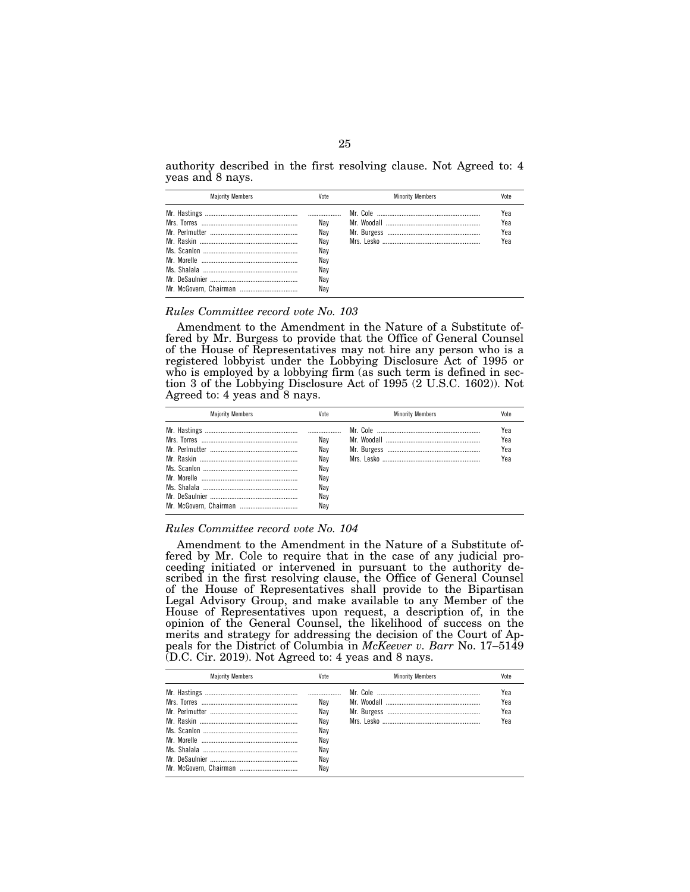authority described in the first resolving clause. Not Agreed to: 4 yeas and 8 nays.

| <b>Maiority Members</b> | Vote                                                 | <b>Minority Members</b> | Vote                     |
|-------------------------|------------------------------------------------------|-------------------------|--------------------------|
|                         | Nav<br>Nav<br>Nav<br>Nav<br>Nav<br>Nav<br>Nav<br>Nav |                         | Yea<br>Yea<br>Yea<br>Yea |

#### *Rules Committee record vote No. 103*

Amendment to the Amendment in the Nature of a Substitute offered by Mr. Burgess to provide that the Office of General Counsel of the House of Representatives may not hire any person who is a registered lobbyist under the Lobbying Disclosure Act of 1995 or who is employed by a lobbying firm (as such term is defined in section 3 of the Lobbying Disclosure Act of 1995 (2 U.S.C. 1602)). Not Agreed to: 4 yeas and 8 nays.

| <b>Maiority Members</b> | Vote | <b>Minority Members</b> | Vote |
|-------------------------|------|-------------------------|------|
|                         |      |                         | Yea  |
|                         | Nav  |                         | Yea  |
|                         | Nav  |                         | Yea  |
|                         | Nav  |                         | Yea  |
|                         | Nav  |                         |      |
|                         | Nav  |                         |      |
|                         | Nav  |                         |      |
|                         | Nav  |                         |      |
|                         | Nav  |                         |      |

### *Rules Committee record vote No. 104*

Amendment to the Amendment in the Nature of a Substitute offered by Mr. Cole to require that in the case of any judicial proceeding initiated or intervened in pursuant to the authority described in the first resolving clause, the Office of General Counsel of the House of Representatives shall provide to the Bipartisan Legal Advisory Group, and make available to any Member of the House of Representatives upon request, a description of, in the opinion of the General Counsel, the likelihood of success on the merits and strategy for addressing the decision of the Court of Appeals for the District of Columbia in *McKeever v. Barr* No. 17–5149 (D.C. Cir. 2019). Not Agreed to: 4 yeas and 8 nays.

| <b>Maiority Members</b> | Vote | <b>Minority Members</b> |     |
|-------------------------|------|-------------------------|-----|
|                         |      |                         | Yea |
|                         | Nav  |                         | Yea |
|                         | Nav  |                         | Yea |
|                         | Nav  |                         | Yea |
|                         | Nav  |                         |     |
|                         | Nav  |                         |     |
|                         | Nav  |                         |     |
|                         | Nav  |                         |     |
| Mr. McGovern, Chairman  | Nav  |                         |     |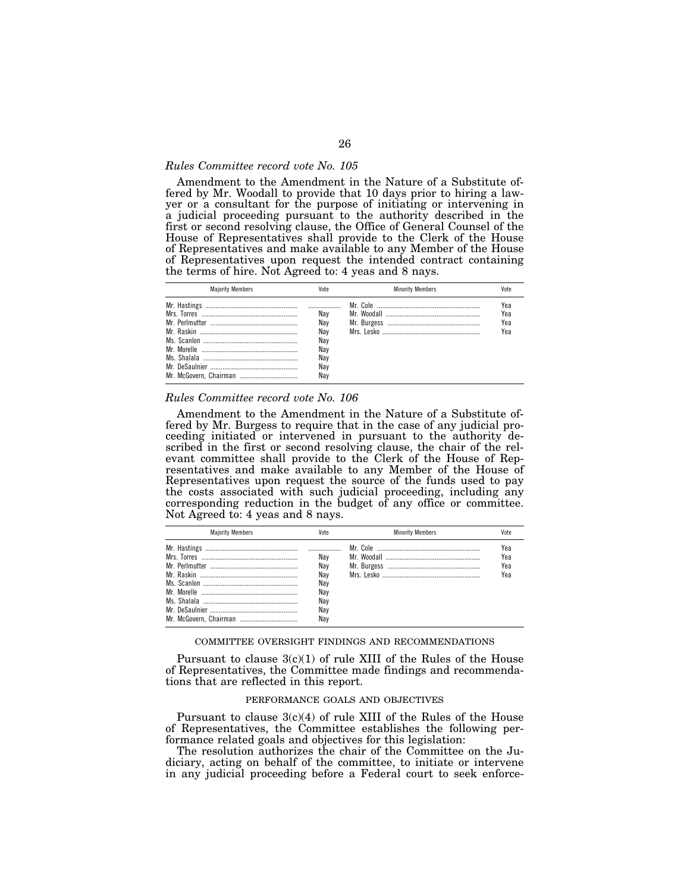## *Rules Committee record vote No. 105*

Amendment to the Amendment in the Nature of a Substitute offered by Mr. Woodall to provide that 10 days prior to hiring a lawyer or a consultant for the purpose of initiating or intervening in a judicial proceeding pursuant to the authority described in the first or second resolving clause, the Office of General Counsel of the House of Representatives shall provide to the Clerk of the House of Representatives and make available to any Member of the House of Representatives upon request the intended contract containing the terms of hire. Not Agreed to: 4 yeas and 8 nays.

| <b>Maiority Members</b> | Vote                                                 | <b>Minority Members</b> | Vote                     |
|-------------------------|------------------------------------------------------|-------------------------|--------------------------|
| Mr. McGovern, Chairman  | Nav<br>Nav<br>Nav<br>Nav<br>Nav<br>Nav<br>Nay<br>Nav |                         | Yea<br>Yea<br>Yea<br>Yea |

#### *Rules Committee record vote No. 106*

Amendment to the Amendment in the Nature of a Substitute offered by Mr. Burgess to require that in the case of any judicial proceeding initiated or intervened in pursuant to the authority described in the first or second resolving clause, the chair of the relevant committee shall provide to the Clerk of the House of Representatives and make available to any Member of the House of Representatives upon request the source of the funds used to pay the costs associated with such judicial proceeding, including any corresponding reduction in the budget of any office or committee. Not Agreed to: 4 yeas and 8 nays.

| <b>Maiority Members</b> | Vote                                                 | <b>Minority Members</b> | Vote                     |
|-------------------------|------------------------------------------------------|-------------------------|--------------------------|
|                         | Nav<br>Nav<br>Nav<br>Nav<br>Nay<br>Nav<br>Nay<br>Nav |                         | Yea<br>Yea<br>Yea<br>Yea |

#### COMMITTEE OVERSIGHT FINDINGS AND RECOMMENDATIONS

Pursuant to clause  $3(c)(1)$  of rule XIII of the Rules of the House of Representatives, the Committee made findings and recommendations that are reflected in this report.

### PERFORMANCE GOALS AND OBJECTIVES

Pursuant to clause  $3(c)(4)$  of rule XIII of the Rules of the House of Representatives, the Committee establishes the following performance related goals and objectives for this legislation:

The resolution authorizes the chair of the Committee on the Judiciary, acting on behalf of the committee, to initiate or intervene in any judicial proceeding before a Federal court to seek enforce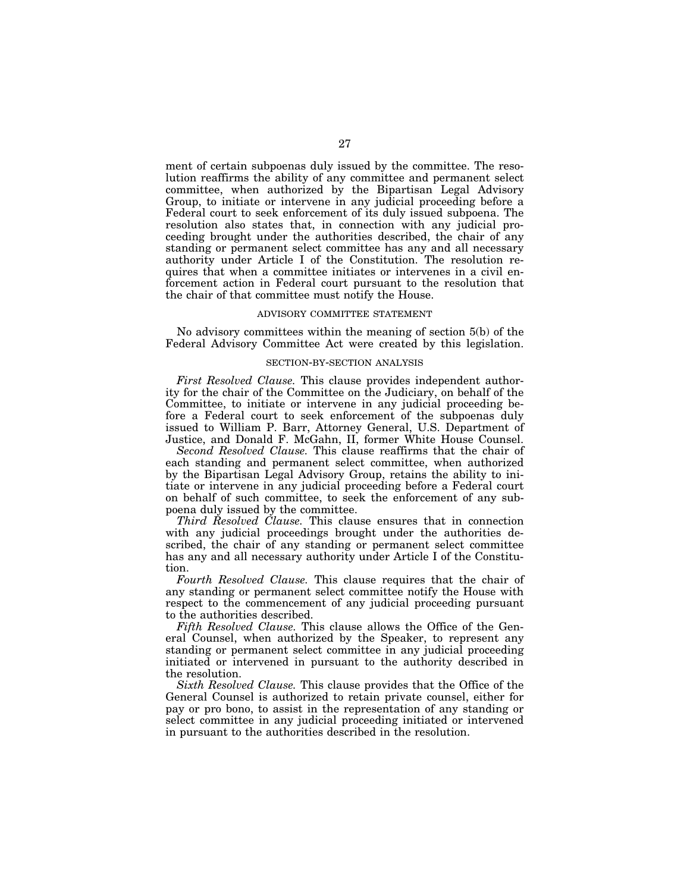ment of certain subpoenas duly issued by the committee. The resolution reaffirms the ability of any committee and permanent select committee, when authorized by the Bipartisan Legal Advisory Group, to initiate or intervene in any judicial proceeding before a Federal court to seek enforcement of its duly issued subpoena. The resolution also states that, in connection with any judicial proceeding brought under the authorities described, the chair of any standing or permanent select committee has any and all necessary authority under Article I of the Constitution. The resolution requires that when a committee initiates or intervenes in a civil enforcement action in Federal court pursuant to the resolution that the chair of that committee must notify the House.

#### ADVISORY COMMITTEE STATEMENT

No advisory committees within the meaning of section 5(b) of the Federal Advisory Committee Act were created by this legislation.

#### SECTION-BY-SECTION ANALYSIS

*First Resolved Clause.* This clause provides independent authority for the chair of the Committee on the Judiciary, on behalf of the Committee, to initiate or intervene in any judicial proceeding before a Federal court to seek enforcement of the subpoenas duly issued to William P. Barr, Attorney General, U.S. Department of Justice, and Donald F. McGahn, II, former White House Counsel.

*Second Resolved Clause.* This clause reaffirms that the chair of each standing and permanent select committee, when authorized by the Bipartisan Legal Advisory Group, retains the ability to initiate or intervene in any judicial proceeding before a Federal court on behalf of such committee, to seek the enforcement of any subpoena duly issued by the committee.

*Third Resolved Clause.* This clause ensures that in connection with any judicial proceedings brought under the authorities described, the chair of any standing or permanent select committee has any and all necessary authority under Article I of the Constitution.

*Fourth Resolved Clause.* This clause requires that the chair of any standing or permanent select committee notify the House with respect to the commencement of any judicial proceeding pursuant to the authorities described.

*Fifth Resolved Clause.* This clause allows the Office of the General Counsel, when authorized by the Speaker, to represent any standing or permanent select committee in any judicial proceeding initiated or intervened in pursuant to the authority described in the resolution.

*Sixth Resolved Clause.* This clause provides that the Office of the General Counsel is authorized to retain private counsel, either for pay or pro bono, to assist in the representation of any standing or select committee in any judicial proceeding initiated or intervened in pursuant to the authorities described in the resolution.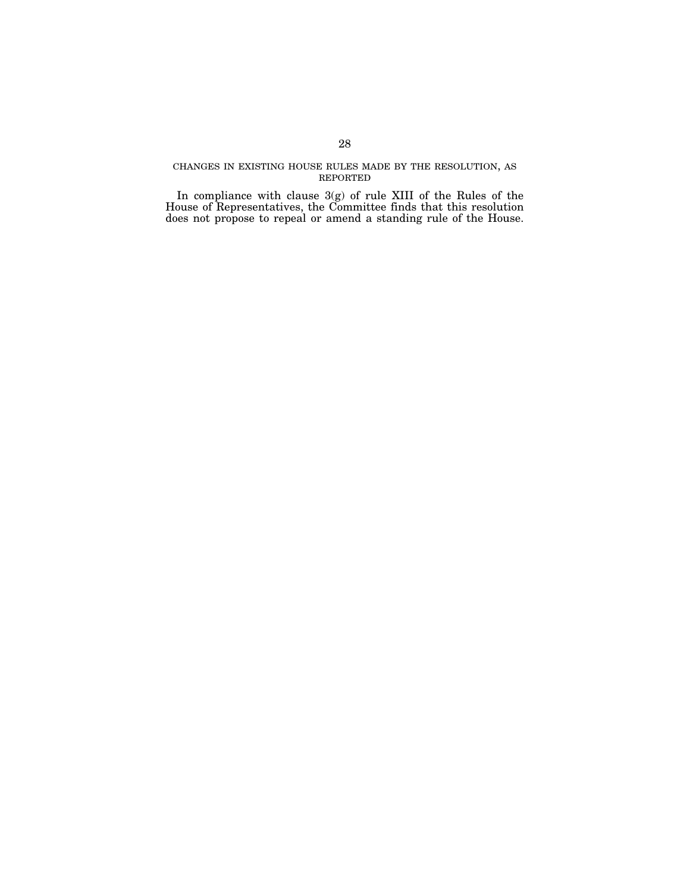## CHANGES IN EXISTING HOUSE RULES MADE BY THE RESOLUTION, AS REPORTED

In compliance with clause 3(g) of rule XIII of the Rules of the House of Representatives, the Committee finds that this resolution does not propose to repeal or amend a standing rule of the House.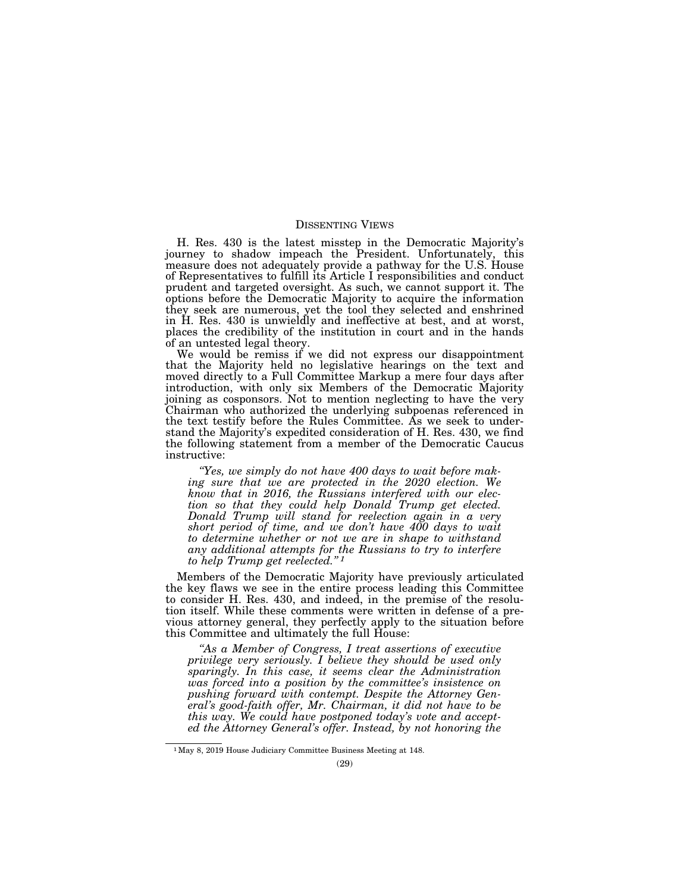### DISSENTING VIEWS

H. Res. 430 is the latest misstep in the Democratic Majority's journey to shadow impeach the President. Unfortunately, this measure does not adequately provide a pathway for the U.S. House of Representatives to fulfill its Article I responsibilities and conduct prudent and targeted oversight. As such, we cannot support it. The options before the Democratic Majority to acquire the information they seek are numerous, yet the tool they selected and enshrined in H. Res. 430 is unwieldly and ineffective at best, and at worst, places the credibility of the institution in court and in the hands of an untested legal theory.

We would be remiss if we did not express our disappointment that the Majority held no legislative hearings on the text and moved directly to a Full Committee Markup a mere four days after introduction, with only six Members of the Democratic Majority joining as cosponsors. Not to mention neglecting to have the very Chairman who authorized the underlying subpoenas referenced in the text testify before the Rules Committee. As we seek to understand the Majority's expedited consideration of H. Res. 430, we find the following statement from a member of the Democratic Caucus instructive:

*''Yes, we simply do not have 400 days to wait before making sure that we are protected in the 2020 election. We know that in 2016, the Russians interfered with our election so that they could help Donald Trump get elected. Donald Trump will stand for reelection again in a very short period of time, and we don't have 400 days to wait to determine whether or not we are in shape to withstand any additional attempts for the Russians to try to interfere to help Trump get reelected.'' 1*

Members of the Democratic Majority have previously articulated the key flaws we see in the entire process leading this Committee to consider H. Res. 430, and indeed, in the premise of the resolution itself. While these comments were written in defense of a previous attorney general, they perfectly apply to the situation before this Committee and ultimately the full House:

*''As a Member of Congress, I treat assertions of executive privilege very seriously. I believe they should be used only sparingly. In this case, it seems clear the Administration was forced into a position by the committee's insistence on pushing forward with contempt. Despite the Attorney General's good-faith offer, Mr. Chairman, it did not have to be this way. We could have postponed today's vote and accepted the Attorney General's offer. Instead, by not honoring the* 

<sup>1</sup>May 8, 2019 House Judiciary Committee Business Meeting at 148.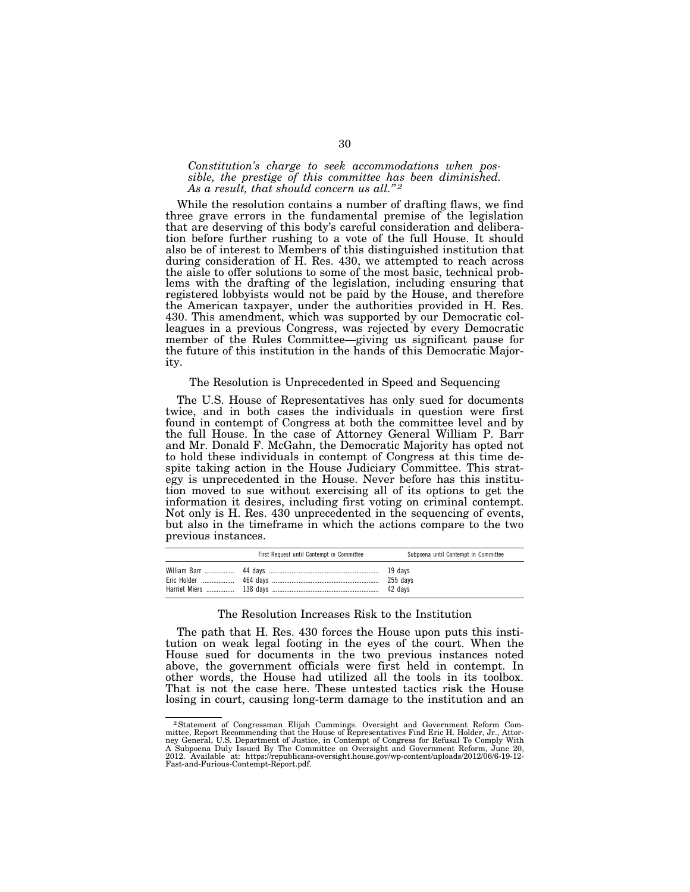## *Constitution's charge to seek accommodations when possible, the prestige of this committee has been diminished. As a result, that should concern us all.'' 2*

While the resolution contains a number of drafting flaws, we find three grave errors in the fundamental premise of the legislation that are deserving of this body's careful consideration and deliberation before further rushing to a vote of the full House. It should also be of interest to Members of this distinguished institution that during consideration of H. Res. 430, we attempted to reach across the aisle to offer solutions to some of the most basic, technical problems with the drafting of the legislation, including ensuring that registered lobbyists would not be paid by the House, and therefore the American taxpayer, under the authorities provided in H. Res. 430. This amendment, which was supported by our Democratic colleagues in a previous Congress, was rejected by every Democratic member of the Rules Committee—giving us significant pause for the future of this institution in the hands of this Democratic Majority.

## The Resolution is Unprecedented in Speed and Sequencing

The U.S. House of Representatives has only sued for documents twice, and in both cases the individuals in question were first found in contempt of Congress at both the committee level and by the full House. In the case of Attorney General William P. Barr and Mr. Donald F. McGahn, the Democratic Majority has opted not to hold these individuals in contempt of Congress at this time despite taking action in the House Judiciary Committee. This strategy is unprecedented in the House. Never before has this institution moved to sue without exercising all of its options to get the information it desires, including first voting on criminal contempt. Not only is H. Res. 430 unprecedented in the sequencing of events, but also in the timeframe in which the actions compare to the two previous instances.

| First Request until Contempt in Committee | Subpoena until Contempt in Committee |
|-------------------------------------------|--------------------------------------|
|                                           |                                      |

## The Resolution Increases Risk to the Institution

The path that H. Res. 430 forces the House upon puts this institution on weak legal footing in the eyes of the court. When the House sued for documents in the two previous instances noted above, the government officials were first held in contempt. In other words, the House had utilized all the tools in its toolbox. That is not the case here. These untested tactics risk the House losing in court, causing long-term damage to the institution and an

<sup>2</sup>Statement of Congressman Elijah Cummings. Oversight and Government Reform Committee, Report Recommending that the House of Representatives Find Eric H. Holder, Jr., Attor-ney General, U.S. Department of Justice, in Contempt of Congress for Refusal To Comply With A Subpoena Duly Issued By The Committee on Oversight and Government Reform, June 20, 2012. Available at: https://republicans-oversight.house.gov/wp-content/uploads/2012/06/6-19-12- Fast-and-Furious-Contempt-Report.pdf.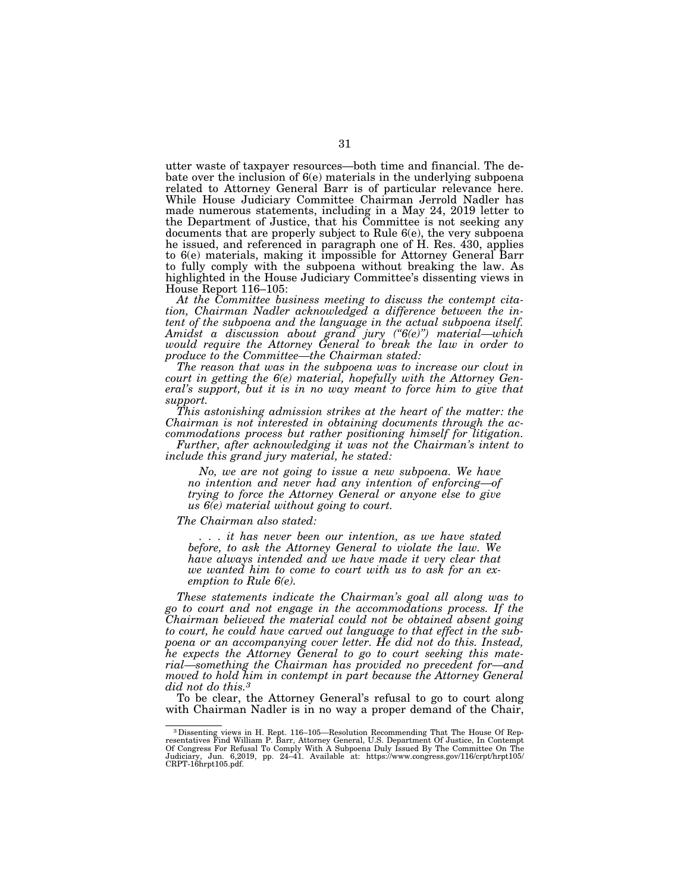utter waste of taxpayer resources—both time and financial. The debate over the inclusion of 6(e) materials in the underlying subpoena related to Attorney General Barr is of particular relevance here. While House Judiciary Committee Chairman Jerrold Nadler has made numerous statements, including in a May 24, 2019 letter to the Department of Justice, that his Committee is not seeking any documents that are properly subject to Rule 6(e), the very subpoena he issued, and referenced in paragraph one of H. Res. 430, applies to 6(e) materials, making it impossible for Attorney General Barr to fully comply with the subpoena without breaking the law. As highlighted in the House Judiciary Committee's dissenting views in House Report 116–105:

*At the Committee business meeting to discuss the contempt citation, Chairman Nadler acknowledged a difference between the intent of the subpoena and the language in the actual subpoena itself. Amidst a discussion about grand jury (''6(e)'') material—which would require the Attorney General to break the law in order to produce to the Committee—the Chairman stated:* 

*The reason that was in the subpoena was to increase our clout in court in getting the 6(e) material, hopefully with the Attorney General's support, but it is in no way meant to force him to give that support.* 

*This astonishing admission strikes at the heart of the matter: the Chairman is not interested in obtaining documents through the accommodations process but rather positioning himself for litigation.* 

*Further, after acknowledging it was not the Chairman's intent to include this grand jury material, he stated:* 

*No, we are not going to issue a new subpoena. We have no intention and never had any intention of enforcing—of trying to force the Attorney General or anyone else to give us 6(e) material without going to court.* 

*The Chairman also stated:* 

*. . . it has never been our intention, as we have stated before, to ask the Attorney General to violate the law. We have always intended and we have made it very clear that we wanted him to come to court with us to ask for an exemption to Rule 6(e).* 

*These statements indicate the Chairman's goal all along was to go to court and not engage in the accommodations process. If the Chairman believed the material could not be obtained absent going to court, he could have carved out language to that effect in the subpoena or an accompanying cover letter. He did not do this. Instead, he expects the Attorney General to go to court seeking this material—something the Chairman has provided no precedent for—and moved to hold him in contempt in part because the Attorney General did not do this.3*

To be clear, the Attorney General's refusal to go to court along with Chairman Nadler is in no way a proper demand of the Chair,

<sup>&</sup>lt;sup>3</sup> Dissenting views in H. Rept. 116–105—Resolution Recommending That The House Of Representatives Find William P. Barr, Attorney General, U.S. Department Of Justice, In Contempt Of Congress For Refusal To Comply With A Su Judiciary, Jun. 6,2019, pp. 24–41. Available at: https://www.congress.gov/116/crpt/hrpt105/ CRPT-16hrpt105.pdf.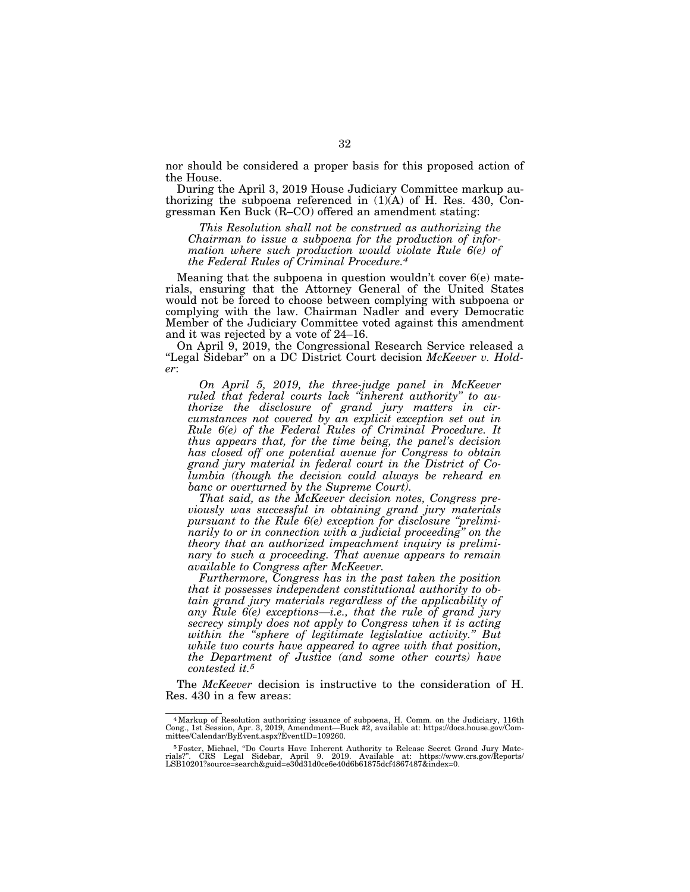nor should be considered a proper basis for this proposed action of the House.

During the April 3, 2019 House Judiciary Committee markup authorizing the subpoena referenced in  $(1)(A)$  of H. Res. 430, Congressman Ken Buck (R–CO) offered an amendment stating:

*This Resolution shall not be construed as authorizing the Chairman to issue a subpoena for the production of information where such production would violate Rule 6(e) of the Federal Rules of Criminal Procedure.4*

Meaning that the subpoena in question wouldn't cover 6(e) materials, ensuring that the Attorney General of the United States would not be forced to choose between complying with subpoena or complying with the law. Chairman Nadler and every Democratic Member of the Judiciary Committee voted against this amendment and it was rejected by a vote of 24–16.

On April 9, 2019, the Congressional Research Service released a "Legal Sidebar" on a DC District Court decision McKeever v. Hold*er*:

*On April 5, 2019, the three-judge panel in McKeever ruled that federal courts lack ''inherent authority'' to authorize the disclosure of grand jury matters in circumstances not covered by an explicit exception set out in Rule 6(e) of the Federal Rules of Criminal Procedure. It thus appears that, for the time being, the panel's decision has closed off one potential avenue for Congress to obtain grand jury material in federal court in the District of Columbia (though the decision could always be reheard en banc or overturned by the Supreme Court).* 

*That said, as the McKeever decision notes, Congress previously was successful in obtaining grand jury materials pursuant to the Rule 6(e) exception for disclosure ''preliminarily to or in connection with a judicial proceeding'' on the theory that an authorized impeachment inquiry is preliminary to such a proceeding. That avenue appears to remain available to Congress after McKeever.* 

*Furthermore, Congress has in the past taken the position that it possesses independent constitutional authority to obtain grand jury materials regardless of the applicability of any Rule 6(e) exceptions—i.e., that the rule of grand jury secrecy simply does not apply to Congress when it is acting within the ''sphere of legitimate legislative activity.'' But while two courts have appeared to agree with that position, the Department of Justice (and some other courts) have contested it.5*

The *McKeever* decision is instructive to the consideration of H. Res. 430 in a few areas:

<sup>4</sup>Markup of Resolution authorizing issuance of subpoena, H. Comm. on the Judiciary, 116th Cong., 1st Session, Apr. 3, 2019, Amendment—Buck #2, available at: https://docs.house.gov/Committee/Calendar/ByEvent.aspx?EventID=109260.

<sup>&</sup>lt;sup>5</sup> Foster, Michael, "Do Courts Have Inherent Authority to Release Secret Grand Jury Materials?''. CRS Legal Sidebar, April 9. 2019. Available at: https://www.crs.gov/Reports/ LSB10201?source=search&guid=e30d31d0ce6e40d6b61875dcf4867487&index=0.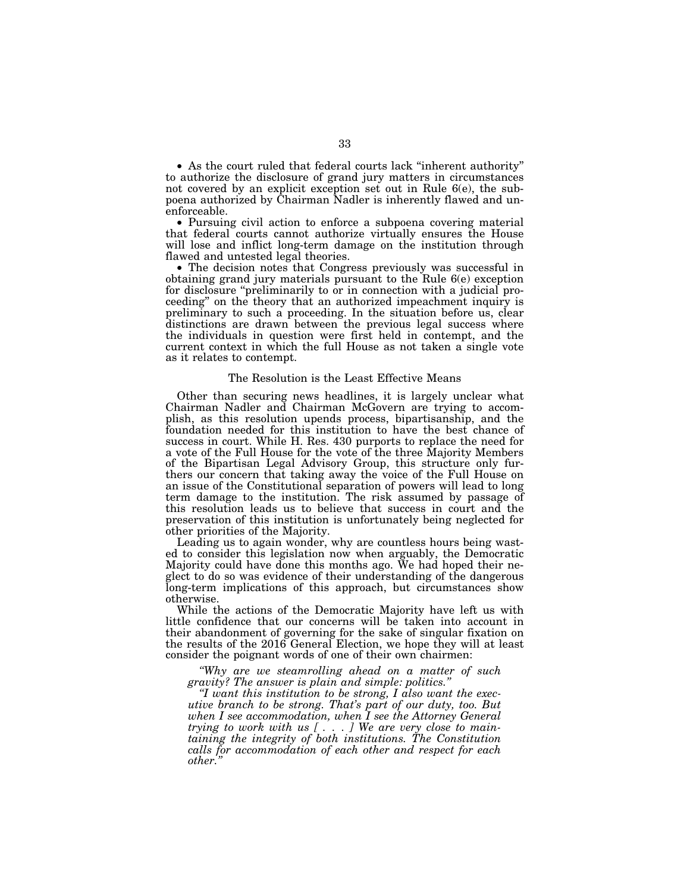• As the court ruled that federal courts lack ''inherent authority'' to authorize the disclosure of grand jury matters in circumstances not covered by an explicit exception set out in Rule 6(e), the subpoena authorized by Chairman Nadler is inherently flawed and unenforceable.

• Pursuing civil action to enforce a subpoena covering material that federal courts cannot authorize virtually ensures the House will lose and inflict long-term damage on the institution through flawed and untested legal theories.

• The decision notes that Congress previously was successful in obtaining grand jury materials pursuant to the Rule 6(e) exception for disclosure ''preliminarily to or in connection with a judicial proceeding'' on the theory that an authorized impeachment inquiry is preliminary to such a proceeding. In the situation before us, clear distinctions are drawn between the previous legal success where the individuals in question were first held in contempt, and the current context in which the full House as not taken a single vote as it relates to contempt.

### The Resolution is the Least Effective Means

Other than securing news headlines, it is largely unclear what Chairman Nadler and Chairman McGovern are trying to accomplish, as this resolution upends process, bipartisanship, and the foundation needed for this institution to have the best chance of success in court. While H. Res. 430 purports to replace the need for a vote of the Full House for the vote of the three Majority Members of the Bipartisan Legal Advisory Group, this structure only furthers our concern that taking away the voice of the Full House on an issue of the Constitutional separation of powers will lead to long term damage to the institution. The risk assumed by passage of this resolution leads us to believe that success in court and the preservation of this institution is unfortunately being neglected for other priorities of the Majority.

Leading us to again wonder, why are countless hours being wasted to consider this legislation now when arguably, the Democratic Majority could have done this months ago. We had hoped their neglect to do so was evidence of their understanding of the dangerous long-term implications of this approach, but circumstances show otherwise.

While the actions of the Democratic Majority have left us with little confidence that our concerns will be taken into account in their abandonment of governing for the sake of singular fixation on the results of the 2016 General Election, we hope they will at least consider the poignant words of one of their own chairmen:

*''Why are we steamrolling ahead on a matter of such gravity? The answer is plain and simple: politics.''* 

*''I want this institution to be strong, I also want the executive branch to be strong. That's part of our duty, too. But when I see accommodation, when I see the Attorney General trying to work with us [ . . . ] We are very close to maintaining the integrity of both institutions. The Constitution calls for accommodation of each other and respect for each other.''*